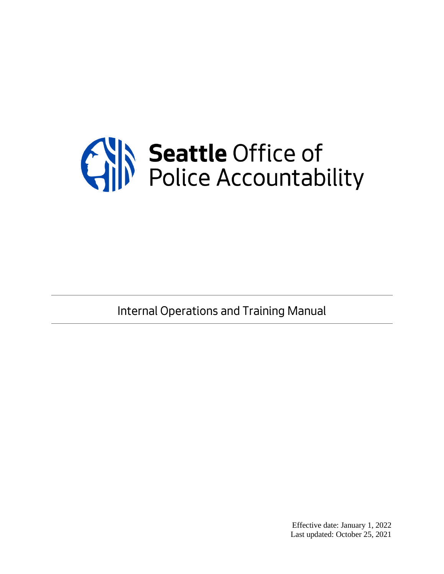

*Internal Operations and Training Manual*

Effective date: January 1, 2022 Last updated: October 25, 2021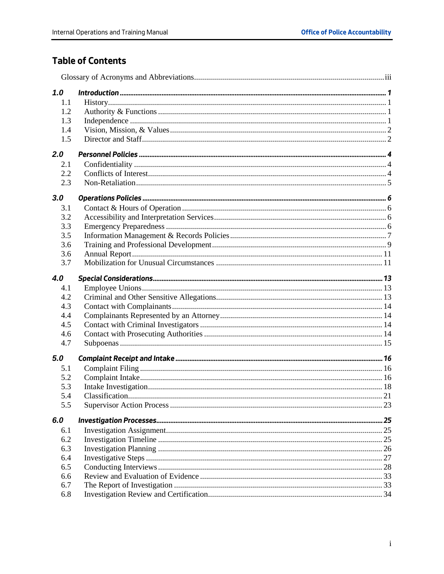# **Table of Contents**

| 1.0 |  |
|-----|--|
| 1.1 |  |
| 1.2 |  |
| 1.3 |  |
| 1.4 |  |
| 1.5 |  |
| 2.0 |  |
| 2.1 |  |
| 2.2 |  |
| 2.3 |  |
| 3.0 |  |
|     |  |
| 3.1 |  |
| 3.2 |  |
| 3.3 |  |
| 3.5 |  |
| 3.6 |  |
| 3.6 |  |
| 3.7 |  |
| 4.0 |  |
| 4.1 |  |
| 4.2 |  |
| 4.3 |  |
| 4.4 |  |
| 4.5 |  |
| 4.6 |  |
| 4.7 |  |
| 5.0 |  |
| 5.1 |  |
| 5.2 |  |
| 5.3 |  |
| 5.4 |  |
| 5.5 |  |
| 6.0 |  |
| 6.1 |  |
| 6.2 |  |
| 6.3 |  |
| 6.4 |  |
| 6.5 |  |
| 6.6 |  |
| 6.7 |  |
| 6.8 |  |
|     |  |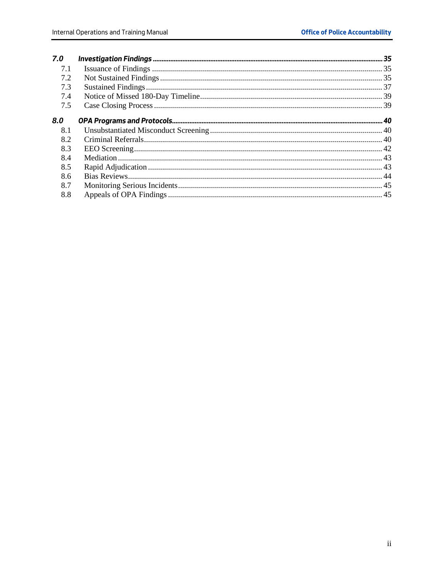| 7.0 |  |
|-----|--|
| 7.1 |  |
| 7.2 |  |
| 7.3 |  |
| 7.4 |  |
| 7.5 |  |
| 8.0 |  |
| 8.1 |  |
| 8.2 |  |
| 8.3 |  |
| 8.4 |  |
| 8.5 |  |
| 8.6 |  |
| 8.7 |  |
| 8.8 |  |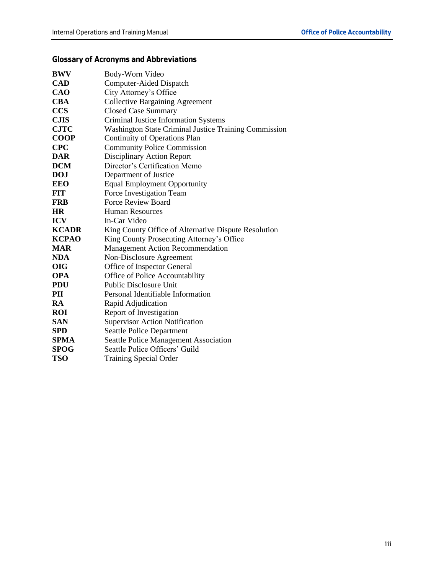## <span id="page-3-0"></span>**Glossary of Acronyms and Abbreviations**

| <b>BWV</b>   | Body-Worn Video                                              |
|--------------|--------------------------------------------------------------|
| <b>CAD</b>   | <b>Computer-Aided Dispatch</b>                               |
| <b>CAO</b>   | City Attorney's Office                                       |
| <b>CBA</b>   | <b>Collective Bargaining Agreement</b>                       |
| <b>CCS</b>   | <b>Closed Case Summary</b>                                   |
| <b>CJIS</b>  | Criminal Justice Information Systems                         |
| <b>CJTC</b>  | <b>Washington State Criminal Justice Training Commission</b> |
| <b>COOP</b>  | Continuity of Operations Plan                                |
| <b>CPC</b>   | <b>Community Police Commission</b>                           |
| <b>DAR</b>   | Disciplinary Action Report                                   |
| <b>DCM</b>   | Director's Certification Memo                                |
| <b>DOJ</b>   | Department of Justice                                        |
| <b>EEO</b>   | <b>Equal Employment Opportunity</b>                          |
| <b>FIT</b>   | Force Investigation Team                                     |
| <b>FRB</b>   | <b>Force Review Board</b>                                    |
| <b>HR</b>    | Human Resources                                              |
| <b>ICV</b>   | In-Car Video                                                 |
| <b>KCADR</b> | King County Office of Alternative Dispute Resolution         |
| <b>KCPAO</b> | King County Prosecuting Attorney's Office                    |
| <b>MAR</b>   | <b>Management Action Recommendation</b>                      |
| <b>NDA</b>   | Non-Disclosure Agreement                                     |
| <b>OIG</b>   | Office of Inspector General                                  |
| <b>OPA</b>   | Office of Police Accountability                              |
| <b>PDU</b>   | <b>Public Disclosure Unit</b>                                |
| PII          | Personal Identifiable Information                            |
| RA           | Rapid Adjudication                                           |
| <b>ROI</b>   | Report of Investigation                                      |
| SAN          | <b>Supervisor Action Notification</b>                        |
| SPD          | <b>Seattle Police Department</b>                             |
| <b>SPMA</b>  | <b>Seattle Police Management Association</b>                 |
| <b>SPOG</b>  | Seattle Police Officers' Guild                               |
| TSO          | <b>Training Special Order</b>                                |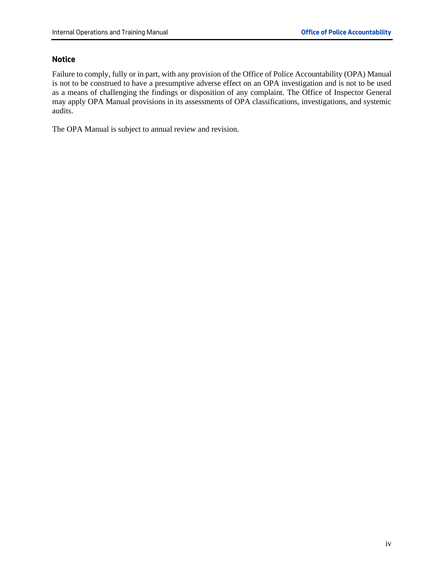## **Notice**

Failure to comply, fully or in part, with any provision of the Office of Police Accountability (OPA) Manual is not to be construed to have a presumptive adverse effect on an OPA investigation and is not to be used as a means of challenging the findings or disposition of any complaint. The Office of Inspector General may apply OPA Manual provisions in its assessments of OPA classifications, investigations, and systemic audits.

The OPA Manual is subject to annual review and revision.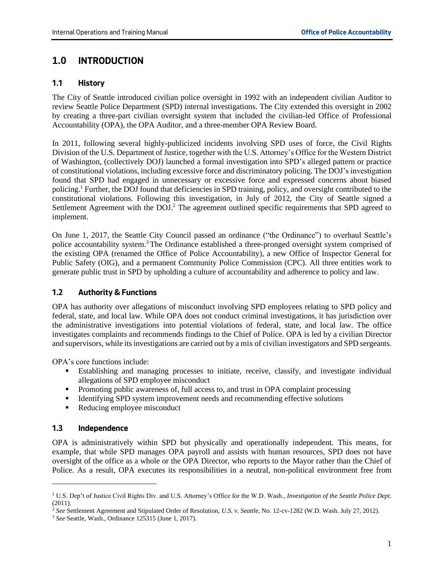## <span id="page-5-0"></span>**1.0 INTRODUCTION**

#### <span id="page-5-1"></span>**1.1 History**

The City of Seattle introduced civilian police oversight in 1992 with an independent civilian Auditor to review Seattle Police Department (SPD) internal investigations. The City extended this oversight in 2002 by creating a three-part civilian oversight system that included the civilian-led Office of Professional Accountability (OPA), the OPA Auditor, and a three-member OPA Review Board.

In 2011, following several highly-publicized incidents involving SPD uses of force, the Civil Rights Division of the U.S. Department of Justice, together with the U.S. Attorney's Office for the Western District of Washington, (collectively DOJ) launched a formal investigation into SPD's alleged pattern or practice of constitutional violations, including excessive force and discriminatory policing. The DOJ's investigation found that SPD had engaged in unnecessary or excessive force and expressed concerns about biased policing.<sup>1</sup> Further, the DOJ found that deficiencies in SPD training, policy, and oversight contributed to the constitutional violations. Following this investigation, in July of 2012, the City of Seattle signed a Settlement Agreement with the DOJ.<sup>2</sup> The agreement outlined specific requirements that SPD agreed to implement.

On June 1, 2017, the Seattle City Council passed an ordinance ("the Ordinance") to overhaul Seattle's police accountability system.<sup>3</sup> The Ordinance established a three-pronged oversight system comprised of the existing OPA (renamed the Office of Police Accountability), a new Office of Inspector General for Public Safety (OIG), and a permanent Community Police Commission (CPC). All three entities work to generate public trust in SPD by upholding a culture of accountability and adherence to policy and law.

#### <span id="page-5-2"></span>**1.2 Authority & Functions**

OPA has authority over allegations of misconduct involving SPD employees relating to SPD policy and federal, state, and local law. While OPA does not conduct criminal investigations, it has jurisdiction over the administrative investigations into potential violations of federal, state, and local law. The office investigates complaints and recommends findings to the Chief of Police. OPA is led by a civilian Director and supervisors, while its investigations are carried out by a mix of civilian investigators and SPD sergeants.

OPA's core functions include:

- Establishing and managing processes to initiate, receive, classify, and investigate individual allegations of SPD employee misconduct
- Promoting public awareness of, full access to, and trust in OPA complaint processing
- Identifying SPD system improvement needs and recommending effective solutions
- Reducing employee misconduct

### <span id="page-5-3"></span>**1.3 Independence**

OPA is administratively within SPD but physically and operationally independent. This means, for example, that while SPD manages OPA payroll and assists with human resources, SPD does not have oversight of the office as a whole or the OPA Director, who reports to the Mayor rather than the Chief of Police. As a result, OPA executes its responsibilities in a neutral, non-political environment free from

<sup>1</sup> U.S. Dep't of Justice Civil Rights Div. and U.S. Attorney's Office for the W.D. Wash., *Investigation of the Seattle Police Dept.* (2011).

<sup>2</sup> *See* Settlement Agreement and Stipulated Order of Resolution, *U.S. v. Seattle*, No. 12-cv-1282 (W.D. Wash. July 27, 2012).

<sup>3</sup> *See* Seattle, Wash., Ordinance 125315 (June 1, 2017).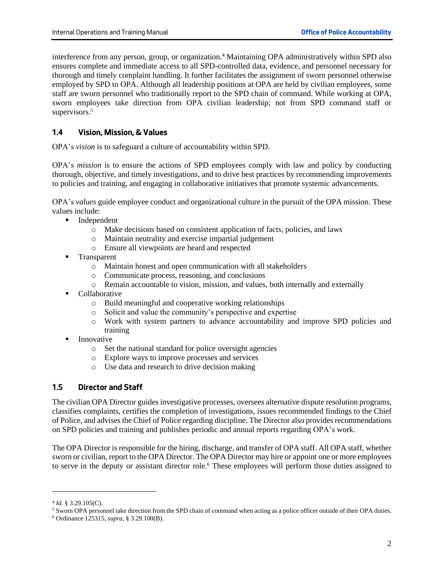interference from any person, group, or organization.<sup>4</sup> Maintaining OPA administratively within SPD also ensures complete and immediate access to all SPD-controlled data, evidence, and personnel necessary for thorough and timely complaint handling. It further facilitates the assignment of sworn personnel otherwise employed by SPD to OPA. Although all leadership positions at OPA are held by civilian employees, some staff are sworn personnel who traditionally report to the SPD chain of command. While working at OPA, sworn employees take direction from OPA civilian leadership; not from SPD command staff or supervisors.<sup>5</sup>

## <span id="page-6-0"></span>**1.4 Vision, Mission, & Values**

OPA's *vision* is to safeguard a culture of accountability within SPD.

OPA's *mission* is to ensure the actions of SPD employees comply with law and policy by conducting thorough, objective, and timely investigations, and to drive best practices by recommending improvements to policies and training, and engaging in collaborative initiatives that promote systemic advancements.

OPA's *values* guide employee conduct and organizational culture in the pursuit of the OPA mission. These values include:

- Independent
	- o Make decisions based on consistent application of facts, policies, and laws
	- o Maintain neutrality and exercise impartial judgement
	- o Ensure all viewpoints are heard and respected
- **Transparent** 
	- o Maintain honest and open communication with all stakeholders
	- o Communicate process, reasoning, and conclusions
	- o Remain accountable to vision, mission, and values, both internally and externally
- Collaborative
	- o Build meaningful and cooperative working relationships
	- o Solicit and value the community's perspective and expertise
	- o Work with system partners to advance accountability and improve SPD policies and training
- **Innovative** 
	- o Set the national standard for police oversight agencies
	- o Explore ways to improve processes and services
	- o Use data and research to drive decision making

## <span id="page-6-1"></span>**1.5 Director and Staff**

The civilian OPA Director guides investigative processes, oversees alternative dispute resolution programs, classifies complaints, certifies the completion of investigations, issues recommended findings to the Chief of Police, and advises the Chief of Police regarding discipline. The Director also provides recommendations on SPD policies and training and publishes periodic and annual reports regarding OPA's work.

The OPA Director is responsible for the hiring, discharge, and transfer of OPA staff. All OPA staff, whether sworn or civilian, report to the OPA Director. The OPA Director may hire or appoint one or more employees to serve in the deputy or assistant director role.<sup>6</sup> These employees will perform those duties assigned to

<sup>4</sup> *Id.* § 3.29.105(C).

<sup>5</sup> Sworn OPA personnel take direction from the SPD chain of command when acting as a police officer outside of their OPA duties.

<sup>6</sup> Ordinance 125315, *supra*, § 3.29.100(B).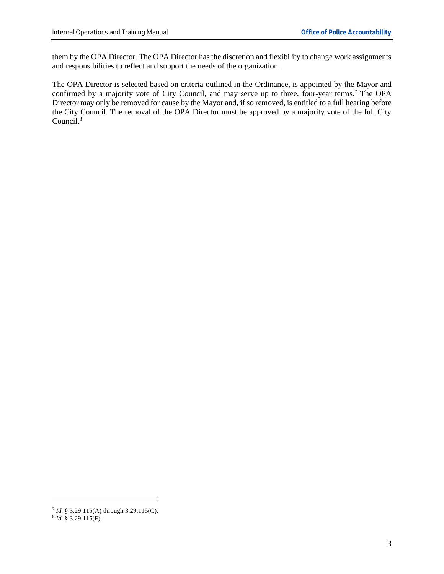them by the OPA Director. The OPA Director has the discretion and flexibility to change work assignments and responsibilities to reflect and support the needs of the organization.

The OPA Director is selected based on criteria outlined in the Ordinance, is appointed by the Mayor and confirmed by a majority vote of City Council, and may serve up to three, four-year terms. <sup>7</sup> The OPA Director may only be removed for cause by the Mayor and, if so removed, is entitled to a full hearing before the City Council. The removal of the OPA Director must be approved by a majority vote of the full City Council.<sup>8</sup>

<sup>7</sup> *Id.* § 3.29.115(A) through 3.29.115(C).

<sup>8</sup> *Id.* § 3.29.115(F).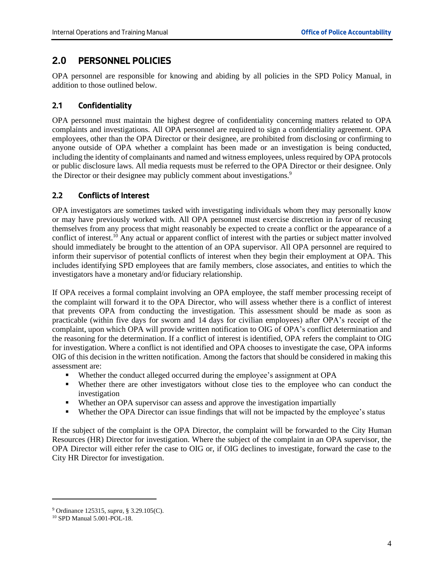## <span id="page-8-0"></span>**2.0 PERSONNEL POLICIES**

OPA personnel are responsible for knowing and abiding by all policies in the SPD Policy Manual, in addition to those outlined below.

## <span id="page-8-1"></span>**2.1 Confidentiality**

OPA personnel must maintain the highest degree of confidentiality concerning matters related to OPA complaints and investigations. All OPA personnel are required to sign a confidentiality agreement. OPA employees, other than the OPA Director or their designee, are prohibited from disclosing or confirming to anyone outside of OPA whether a complaint has been made or an investigation is being conducted, including the identity of complainants and named and witness employees, unless required by OPA protocols or public disclosure laws. All media requests must be referred to the OPA Director or their designee. Only the Director or their designee may publicly comment about investigations.<sup>9</sup>

## <span id="page-8-2"></span>**2.2 Conflicts of Interest**

OPA investigators are sometimes tasked with investigating individuals whom they may personally know or may have previously worked with. All OPA personnel must exercise discretion in favor of recusing themselves from any process that might reasonably be expected to create a conflict or the appearance of a conflict of interest.<sup>10</sup> Any actual or apparent conflict of interest with the parties or subject matter involved should immediately be brought to the attention of an OPA supervisor. All OPA personnel are required to inform their supervisor of potential conflicts of interest when they begin their employment at OPA. This includes identifying SPD employees that are family members, close associates, and entities to which the investigators have a monetary and/or fiduciary relationship.

If OPA receives a formal complaint involving an OPA employee, the staff member processing receipt of the complaint will forward it to the OPA Director, who will assess whether there is a conflict of interest that prevents OPA from conducting the investigation. This assessment should be made as soon as practicable (within five days for sworn and 14 days for civilian employees) after OPA's receipt of the complaint, upon which OPA will provide written notification to OIG of OPA's conflict determination and the reasoning for the determination. If a conflict of interest is identified, OPA refers the complaint to OIG for investigation. Where a conflict is not identified and OPA chooses to investigate the case, OPA informs OIG of this decision in the written notification. Among the factors that should be considered in making this assessment are:

- Whether the conduct alleged occurred during the employee's assignment at OPA
- Whether there are other investigators without close ties to the employee who can conduct the investigation
- **•** Whether an OPA supervisor can assess and approve the investigation impartially
- Whether the OPA Director can issue findings that will not be impacted by the employee's status

If the subject of the complaint is the OPA Director, the complaint will be forwarded to the City Human Resources (HR) Director for investigation. Where the subject of the complaint in an OPA supervisor, the OPA Director will either refer the case to OIG or, if OIG declines to investigate, forward the case to the City HR Director for investigation.

<sup>9</sup> Ordinance 125315, *supra*, § 3.29.105(C).

<sup>10</sup> SPD Manual 5.001-POL-18.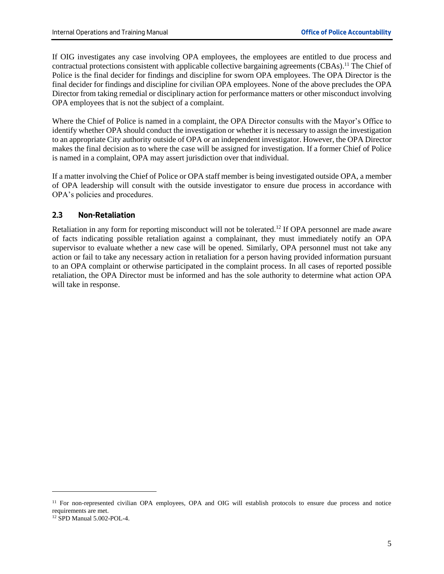If OIG investigates any case involving OPA employees, the employees are entitled to due process and contractual protections consistent with applicable collective bargaining agreements (CBAs).<sup>11</sup> The Chief of Police is the final decider for findings and discipline for sworn OPA employees. The OPA Director is the final decider for findings and discipline for civilian OPA employees. None of the above precludes the OPA Director from taking remedial or disciplinary action for performance matters or other misconduct involving OPA employees that is not the subject of a complaint.

Where the Chief of Police is named in a complaint, the OPA Director consults with the Mayor's Office to identify whether OPA should conduct the investigation or whether it is necessary to assign the investigation to an appropriate City authority outside of OPA or an independent investigator. However, the OPA Director makes the final decision as to where the case will be assigned for investigation. If a former Chief of Police is named in a complaint, OPA may assert jurisdiction over that individual.

If a matter involving the Chief of Police or OPA staff member is being investigated outside OPA, a member of OPA leadership will consult with the outside investigator to ensure due process in accordance with OPA's policies and procedures.

## <span id="page-9-0"></span>**2.3 Non-Retaliation**

Retaliation in any form for reporting misconduct will not be tolerated.<sup>12</sup> If OPA personnel are made aware of facts indicating possible retaliation against a complainant, they must immediately notify an OPA supervisor to evaluate whether a new case will be opened. Similarly, OPA personnel must not take any action or fail to take any necessary action in retaliation for a person having provided information pursuant to an OPA complaint or otherwise participated in the complaint process. In all cases of reported possible retaliation, the OPA Director must be informed and has the sole authority to determine what action OPA will take in response.

<sup>&</sup>lt;sup>11</sup> For non-represented civilian OPA employees, OPA and OIG will establish protocols to ensure due process and notice requirements are met.

<sup>12</sup> SPD Manual 5.002-POL-4.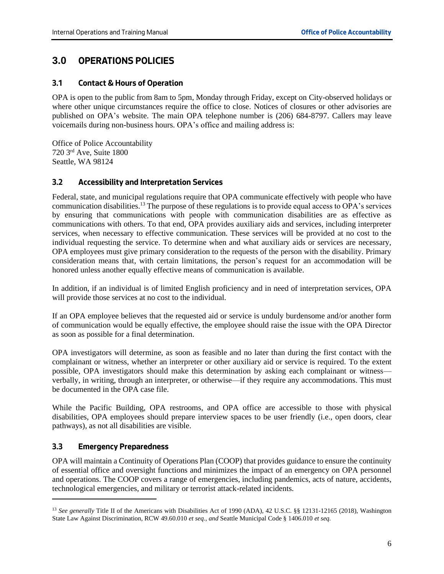## <span id="page-10-0"></span>**3.0 OPERATIONS POLICIES**

### <span id="page-10-1"></span>**3.1 Contact & Hours of Operation**

OPA is open to the public from 8am to 5pm, Monday through Friday, except on City-observed holidays or where other unique circumstances require the office to close. Notices of closures or other advisories are published on OPA's website. The main OPA telephone number is (206) 684-8797. Callers may leave voicemails during non-business hours. OPA's office and mailing address is:

Office of Police Accountability 720 3rd Ave, Suite 1800 Seattle, WA 98124

### <span id="page-10-2"></span>**3.2 Accessibility and Interpretation Services**

Federal, state, and municipal regulations require that OPA communicate effectively with people who have communication disabilities.<sup>13</sup> The purpose of these regulations is to provide equal access to OPA's services by ensuring that communications with people with communication disabilities are as effective as communications with others. To that end, OPA provides auxiliary aids and services, including interpreter services, when necessary to effective communication. These services will be provided at no cost to the individual requesting the service. To determine when and what auxiliary aids or services are necessary, OPA employees must give primary consideration to the requests of the person with the disability. Primary consideration means that, with certain limitations, the person's request for an accommodation will be honored unless another equally effective means of communication is available.

In addition, if an individual is of limited English proficiency and in need of interpretation services, OPA will provide those services at no cost to the individual.

If an OPA employee believes that the requested aid or service is unduly burdensome and/or another form of communication would be equally effective, the employee should raise the issue with the OPA Director as soon as possible for a final determination.

OPA investigators will determine, as soon as feasible and no later than during the first contact with the complainant or witness, whether an interpreter or other auxiliary aid or service is required. To the extent possible, OPA investigators should make this determination by asking each complainant or witness verbally, in writing, through an interpreter, or otherwise—if they require any accommodations. This must be documented in the OPA case file.

While the Pacific Building, OPA restrooms, and OPA office are accessible to those with physical disabilities, OPA employees should prepare interview spaces to be user friendly (i.e., open doors, clear pathways), as not all disabilities are visible.

#### <span id="page-10-3"></span>**3.3 Emergency Preparedness**

OPA will maintain a Continuity of Operations Plan (COOP) that provides guidance to ensure the continuity of essential office and oversight functions and minimizes the impact of an emergency on OPA personnel and operations. The COOP covers a range of emergencies, including pandemics, acts of nature, accidents, technological emergencies, and military or terrorist attack-related incidents.

<sup>&</sup>lt;sup>13</sup> See generally Title II of the Americans with Disabilities Act of 1990 (ADA), 42 U.S.C. §§ 12131-12165 (2018), Washington State Law Against Discrimination, RCW 49.60.010 *et seq.*, *and* Seattle Municipal Code § 1406.010 *et seq.*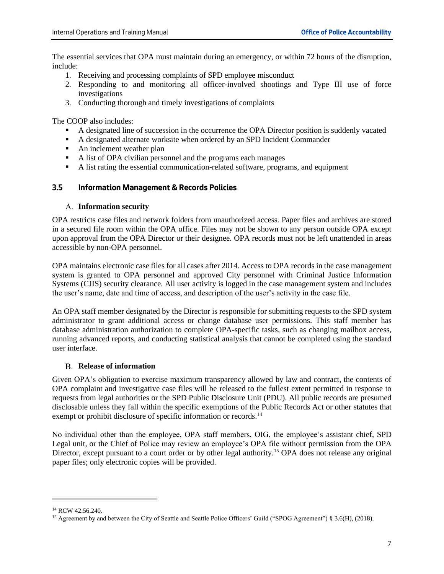The essential services that OPA must maintain during an emergency, or within 72 hours of the disruption, include:

- 1. Receiving and processing complaints of SPD employee misconduct
- 2. Responding to and monitoring all officer-involved shootings and Type III use of force investigations
- 3. Conducting thorough and timely investigations of complaints

The COOP also includes:

- A designated line of succession in the occurrence the OPA Director position is suddenly vacated
- A designated alternate worksite when ordered by an SPD Incident Commander
- An inclement weather plan
- A list of OPA civilian personnel and the programs each manages
- A list rating the essential communication-related software, programs, and equipment

## <span id="page-11-0"></span>**3.5 Information Management & Records Policies**

#### **Information security**

OPA restricts case files and network folders from unauthorized access. Paper files and archives are stored in a secured file room within the OPA office. Files may not be shown to any person outside OPA except upon approval from the OPA Director or their designee. OPA records must not be left unattended in areas accessible by non-OPA personnel.

OPA maintains electronic case files for all cases after 2014. Access to OPA records in the case management system is granted to OPA personnel and approved City personnel with Criminal Justice Information Systems (CJIS) security clearance. All user activity is logged in the case management system and includes the user's name, date and time of access, and description of the user's activity in the case file.

An OPA staff member designated by the Director is responsible for submitting requests to the SPD system administrator to grant additional access or change database user permissions. This staff member has database administration authorization to complete OPA-specific tasks, such as changing mailbox access, running advanced reports, and conducting statistical analysis that cannot be completed using the standard user interface.

#### **Release of information**

Given OPA's obligation to exercise maximum transparency allowed by law and contract, the contents of OPA complaint and investigative case files will be released to the fullest extent permitted in response to requests from legal authorities or the SPD Public Disclosure Unit (PDU). All public records are presumed disclosable unless they fall within the specific exemptions of the Public Records Act or other statutes that exempt or prohibit disclosure of specific information or records.<sup>14</sup>

No individual other than the employee, OPA staff members, OIG, the employee's assistant chief, SPD Legal unit, or the Chief of Police may review an employee's OPA file without permission from the OPA Director, except pursuant to a court order or by other legal authority.<sup>15</sup> OPA does not release any original paper files; only electronic copies will be provided.

<sup>&</sup>lt;sup>14</sup> RCW 42.56.240.

<sup>15</sup> Agreement by and between the City of Seattle and Seattle Police Officers' Guild ("SPOG Agreement") § 3.6(H), (2018).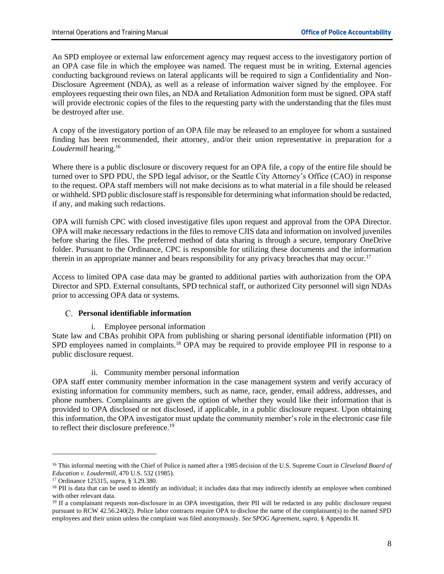An SPD employee or external law enforcement agency may request access to the investigatory portion of an OPA case file in which the employee was named. The request must be in writing. External agencies conducting background reviews on lateral applicants will be required to sign a Confidentiality and Non-Disclosure Agreement (NDA), as well as a release of information waiver signed by the employee. For employees requesting their own files, an NDA and Retaliation Admonition form must be signed. OPA staff will provide electronic copies of the files to the requesting party with the understanding that the files must be destroyed after use.

A copy of the investigatory portion of an OPA file may be released to an employee for whom a sustained finding has been recommended, their attorney, and/or their union representative in preparation for a *Loudermill* hearing.<sup>16</sup>

Where there is a public disclosure or discovery request for an OPA file, a copy of the entire file should be turned over to SPD PDU, the SPD legal advisor, or the Seattle City Attorney's Office (CAO) in response to the request. OPA staff members will not make decisions as to what material in a file should be released or withheld. SPD public disclosure staff is responsible for determining what information should be redacted, if any, and making such redactions.

OPA will furnish CPC with closed investigative files upon request and approval from the OPA Director. OPA will make necessary redactions in the files to remove CJIS data and information on involved juveniles before sharing the files. The preferred method of data sharing is through a secure, temporary OneDrive folder. Pursuant to the Ordinance, CPC is responsible for utilizing these documents and the information therein in an appropriate manner and bears responsibility for any privacy breaches that may occur.<sup>17</sup>

Access to limited OPA case data may be granted to additional parties with authorization from the OPA Director and SPD. External consultants, SPD technical staff, or authorized City personnel will sign NDAs prior to accessing OPA data or systems.

## **Personal identifiable information**

i. Employee personal information

State law and CBAs prohibit OPA from publishing or sharing personal identifiable information (PII) on SPD employees named in complaints.<sup>18</sup> OPA may be required to provide employee PII in response to a public disclosure request.

ii. Community member personal information

OPA staff enter community member information in the case management system and verify accuracy of existing information for community members, such as name, race, gender, email address, addresses, and phone numbers. Complainants are given the option of whether they would like their information that is provided to OPA disclosed or not disclosed, if applicable, in a public disclosure request. Upon obtaining this information, the OPA investigator must update the community member's role in the electronic case file to reflect their disclosure preference.<sup>19</sup>

<sup>16</sup> This informal meeting with the Chief of Police is named after a 1985 decision of the U.S. Supreme Court in *Cleveland Board of Education v. Loudermill,* 470 U.S. 532 (1985).

<sup>17</sup> Ordinance 125315, *supra*, § 3.29.380.

<sup>&</sup>lt;sup>18</sup> PII is data that can be used to identify an individual; it includes data that may indirectly identify an employee when combined with other relevant data.

<sup>&</sup>lt;sup>19</sup> If a complainant requests non-disclosure in an OPA investigation, their PII will be redacted in any public disclosure request pursuant to RCW 42.56.240(2). Police labor contracts require OPA to disclose the name of the complainant(s) to the named SPD employees and their union unless the complaint was filed anonymously. *See SPOG Agreement, supra,* § Appendix H.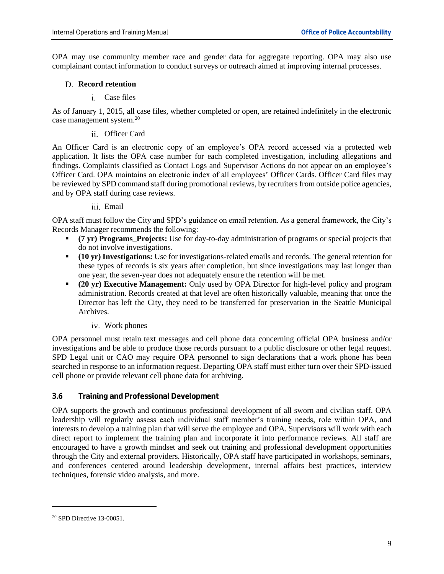OPA may use community member race and gender data for aggregate reporting. OPA may also use complainant contact information to conduct surveys or outreach aimed at improving internal processes.

### **Record retention**

Case files

As of January 1, 2015, all case files, whether completed or open, are retained indefinitely in the electronic case management system.<sup>20</sup>

ii. Officer Card

An Officer Card is an electronic copy of an employee's OPA record accessed via a protected web application. It lists the OPA case number for each completed investigation, including allegations and findings. Complaints classified as Contact Logs and Supervisor Actions do not appear on an employee's Officer Card. OPA maintains an electronic index of all employees' Officer Cards. Officer Card files may be reviewed by SPD command staff during promotional reviews, by recruiters from outside police agencies, and by OPA staff during case reviews.

iii. Email

OPA staff must follow the City and SPD's guidance on email retention. As a general framework, the City's Records Manager recommends the following:

- **(7 yr) Programs\_Projects:** Use for day-to-day administration of programs or special projects that do not involve investigations.
- **(10 yr) Investigations:** Use for investigations-related emails and records. The general retention for these types of records is six years after completion, but since investigations may last longer than one year, the seven-year does not adequately ensure the retention will be met.
- **(20 yr) Executive Management:** Only used by OPA Director for high-level policy and program administration. Records created at that level are often historically valuable, meaning that once the Director has left the City, they need to be transferred for preservation in the Seattle Municipal Archives.
	- iv. Work phones

OPA personnel must retain text messages and cell phone data concerning official OPA business and/or investigations and be able to produce those records pursuant to a public disclosure or other legal request. SPD Legal unit or CAO may require OPA personnel to sign declarations that a work phone has been searched in response to an information request. Departing OPA staff must either turn over their SPD-issued cell phone or provide relevant cell phone data for archiving.

## <span id="page-13-0"></span>**3.6 Training and Professional Development**

OPA supports the growth and continuous professional development of all sworn and civilian staff. OPA leadership will regularly assess each individual staff member's training needs, role within OPA, and interests to develop a training plan that will serve the employee and OPA. Supervisors will work with each direct report to implement the training plan and incorporate it into performance reviews. All staff are encouraged to have a growth mindset and seek out training and professional development opportunities through the City and external providers. Historically, OPA staff have participated in workshops, seminars, and conferences centered around leadership development, internal affairs best practices, interview techniques, forensic video analysis, and more.

<sup>20</sup> SPD Directive 13-00051.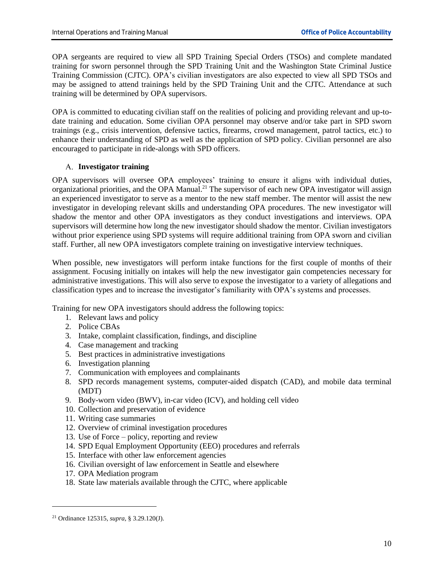OPA sergeants are required to view all SPD Training Special Orders (TSOs) and complete mandated training for sworn personnel through the SPD Training Unit and the Washington State Criminal Justice Training Commission (CJTC). OPA's civilian investigators are also expected to view all SPD TSOs and may be assigned to attend trainings held by the SPD Training Unit and the CJTC. Attendance at such training will be determined by OPA supervisors.

OPA is committed to educating civilian staff on the realities of policing and providing relevant and up-todate training and education. Some civilian OPA personnel may observe and/or take part in SPD sworn trainings (e.g., crisis intervention, defensive tactics, firearms, crowd management, patrol tactics, etc.) to enhance their understanding of SPD as well as the application of SPD policy. Civilian personnel are also encouraged to participate in ride-alongs with SPD officers.

### **Investigator training**

OPA supervisors will oversee OPA employees' training to ensure it aligns with individual duties, organizational priorities, and the OPA Manual.<sup>21</sup> The supervisor of each new OPA investigator will assign an experienced investigator to serve as a mentor to the new staff member. The mentor will assist the new investigator in developing relevant skills and understanding OPA procedures. The new investigator will shadow the mentor and other OPA investigators as they conduct investigations and interviews. OPA supervisors will determine how long the new investigator should shadow the mentor. Civilian investigators without prior experience using SPD systems will require additional training from OPA sworn and civilian staff. Further, all new OPA investigators complete training on investigative interview techniques.

When possible, new investigators will perform intake functions for the first couple of months of their assignment. Focusing initially on intakes will help the new investigator gain competencies necessary for administrative investigations. This will also serve to expose the investigator to a variety of allegations and classification types and to increase the investigator's familiarity with OPA's systems and processes.

Training for new OPA investigators should address the following topics:

- 1. Relevant laws and policy
- 2. Police CBAs
- 3. Intake, complaint classification, findings, and discipline
- 4. Case management and tracking
- 5. Best practices in administrative investigations
- 6. Investigation planning
- 7. Communication with employees and complainants
- 8. SPD records management systems, computer-aided dispatch (CAD), and mobile data terminal (MDT)
- 9. Body-worn video (BWV), in-car video (ICV), and holding cell video
- 10. Collection and preservation of evidence
- 11. Writing case summaries
- 12. Overview of criminal investigation procedures
- 13. Use of Force policy, reporting and review
- 14. SPD Equal Employment Opportunity (EEO) procedures and referrals
- 15. Interface with other law enforcement agencies
- 16. Civilian oversight of law enforcement in Seattle and elsewhere
- 17. OPA Mediation program
- 18. State law materials available through the CJTC, where applicable

<sup>21</sup> Ordinance 125315, *supra*, § 3.29.120(J).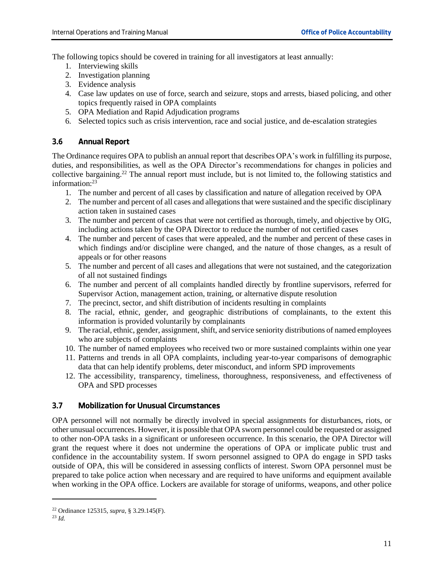The following topics should be covered in training for all investigators at least annually:

- 1. Interviewing skills
- 2. Investigation planning
- 3. Evidence analysis
- 4. Case law updates on use of force, search and seizure, stops and arrests, biased policing, and other topics frequently raised in OPA complaints
- 5. OPA Mediation and Rapid Adjudication programs
- 6. Selected topics such as crisis intervention, race and social justice, and de-escalation strategies

## <span id="page-15-0"></span>**3.6 Annual Report**

The Ordinance requires OPA to publish an annual report that describes OPA's work in fulfilling its purpose, duties, and responsibilities, as well as the OPA Director's recommendations for changes in policies and collective bargaining.<sup>22</sup> The annual report must include, but is not limited to, the following statistics and information:<sup>23</sup>

- 1. The number and percent of all cases by classification and nature of allegation received by OPA
- 2. The number and percent of all cases and allegations that were sustained and the specific disciplinary action taken in sustained cases
- 3. The number and percent of cases that were not certified as thorough, timely, and objective by OIG, including actions taken by the OPA Director to reduce the number of not certified cases
- 4. The number and percent of cases that were appealed, and the number and percent of these cases in which findings and/or discipline were changed, and the nature of those changes, as a result of appeals or for other reasons
- 5. The number and percent of all cases and allegations that were not sustained, and the categorization of all not sustained findings
- 6. The number and percent of all complaints handled directly by frontline supervisors, referred for Supervisor Action, management action, training, or alternative dispute resolution
- 7. The precinct, sector, and shift distribution of incidents resulting in complaints
- 8. The racial, ethnic, gender, and geographic distributions of complainants, to the extent this information is provided voluntarily by complainants
- 9. The racial, ethnic, gender, assignment, shift, and service seniority distributions of named employees who are subjects of complaints
- 10. The number of named employees who received two or more sustained complaints within one year
- 11. Patterns and trends in all OPA complaints, including year-to-year comparisons of demographic data that can help identify problems, deter misconduct, and inform SPD improvements
- 12. The accessibility, transparency, timeliness, thoroughness, responsiveness, and effectiveness of OPA and SPD processes

## <span id="page-15-1"></span>**3.7 Mobilization for Unusual Circumstances**

OPA personnel will not normally be directly involved in special assignments for disturbances, riots, or other unusual occurrences. However, it is possible that OPA sworn personnel could be requested or assigned to other non-OPA tasks in a significant or unforeseen occurrence. In this scenario, the OPA Director will grant the request where it does not undermine the operations of OPA or implicate public trust and confidence in the accountability system. If sworn personnel assigned to OPA do engage in SPD tasks outside of OPA, this will be considered in assessing conflicts of interest. Sworn OPA personnel must be prepared to take police action when necessary and are required to have uniforms and equipment available when working in the OPA office. Lockers are available for storage of uniforms, weapons, and other police

<sup>22</sup> Ordinance 125315, *supra*, § 3.29.145(F).

<sup>23</sup> *Id.*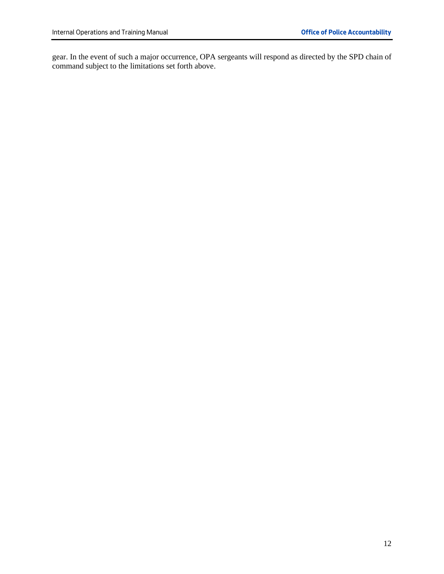gear. In the event of such a major occurrence, OPA sergeants will respond as directed by the SPD chain of command subject to the limitations set forth above.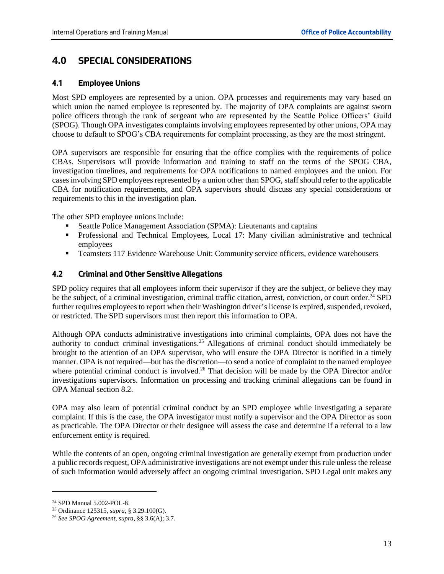## <span id="page-17-0"></span>**4.0 SPECIAL CONSIDERATIONS**

### <span id="page-17-1"></span>**4.1 Employee Unions**

Most SPD employees are represented by a union. OPA processes and requirements may vary based on which union the named employee is represented by. The majority of OPA complaints are against sworn police officers through the rank of sergeant who are represented by the Seattle Police Officers' Guild (SPOG). Though OPA investigates complaints involving employees represented by other unions, OPA may choose to default to SPOG's CBA requirements for complaint processing, as they are the most stringent.

OPA supervisors are responsible for ensuring that the office complies with the requirements of police CBAs. Supervisors will provide information and training to staff on the terms of the SPOG CBA, investigation timelines, and requirements for OPA notifications to named employees and the union. For cases involving SPD employees represented by a union other than SPOG, staff should refer to the applicable CBA for notification requirements, and OPA supervisors should discuss any special considerations or requirements to this in the investigation plan.

The other SPD employee unions include:

- Seattle Police Management Association (SPMA): Lieutenants and captains
- **•** Professional and Technical Employees, Local 17: Many civilian administrative and technical employees
- Teamsters 117 Evidence Warehouse Unit: Community service officers, evidence warehousers

### <span id="page-17-2"></span>**4.2 Criminal and Other Sensitive Allegations**

SPD policy requires that all employees inform their supervisor if they are the subject, or believe they may be the subject, of a criminal investigation, criminal traffic citation, arrest, conviction, or court order.<sup>24</sup> SPD further requires employees to report when their Washington driver's license is expired, suspended, revoked, or restricted. The SPD supervisors must then report this information to OPA.

Although OPA conducts administrative investigations into criminal complaints, OPA does not have the authority to conduct criminal investigations.<sup>25</sup> Allegations of criminal conduct should immediately be brought to the attention of an OPA supervisor, who will ensure the OPA Director is notified in a timely manner. OPA is not required—but has the discretion—to send a notice of complaint to the named employee where potential criminal conduct is involved.<sup>26</sup> That decision will be made by the OPA Director and/or investigations supervisors. Information on processing and tracking criminal allegations can be found in OPA Manual section 8.2.

OPA may also learn of potential criminal conduct by an SPD employee while investigating a separate complaint. If this is the case, the OPA investigator must notify a supervisor and the OPA Director as soon as practicable. The OPA Director or their designee will assess the case and determine if a referral to a law enforcement entity is required.

While the contents of an open, ongoing criminal investigation are generally exempt from production under a public records request, OPA administrative investigations are not exempt under this rule unless the release of such information would adversely affect an ongoing criminal investigation. SPD Legal unit makes any

<sup>24</sup> SPD Manual 5.002-POL-8.

<sup>25</sup> Ordinance 125315, *supra*, § 3.29.100(G).

<sup>26</sup> *See SPOG Agreement, supra,* §§ 3.6(A); 3.7.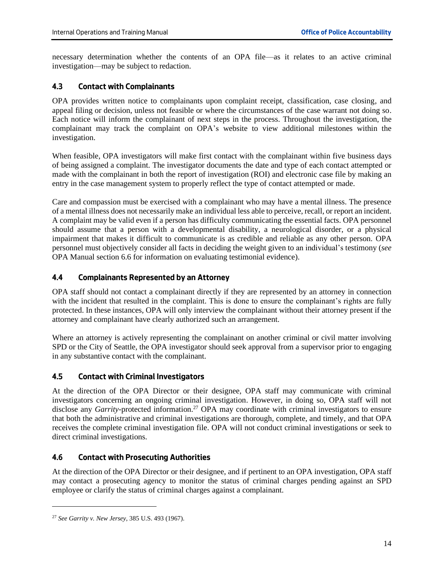necessary determination whether the contents of an OPA file—as it relates to an active criminal investigation—may be subject to redaction.

## <span id="page-18-0"></span>**4.3 Contact with Complainants**

OPA provides written notice to complainants upon complaint receipt, classification, case closing, and appeal filing or decision, unless not feasible or where the circumstances of the case warrant not doing so. Each notice will inform the complainant of next steps in the process. Throughout the investigation, the complainant may track the complaint on OPA's website to view additional milestones within the investigation.

When feasible, OPA investigators will make first contact with the complainant within five business days of being assigned a complaint. The investigator documents the date and type of each contact attempted or made with the complainant in both the report of investigation (ROI) and electronic case file by making an entry in the case management system to properly reflect the type of contact attempted or made.

Care and compassion must be exercised with a complainant who may have a mental illness. The presence of a mental illness does not necessarily make an individual less able to perceive, recall, or report an incident. A complaint may be valid even if a person has difficulty communicating the essential facts. OPA personnel should assume that a person with a developmental disability, a neurological disorder, or a physical impairment that makes it difficult to communicate is as credible and reliable as any other person. OPA personnel must objectively consider all facts in deciding the weight given to an individual's testimony (*see* OPA Manual section 6.6 for information on evaluating testimonial evidence).

## <span id="page-18-1"></span>**4.4 Complainants Represented by an Attorney**

OPA staff should not contact a complainant directly if they are represented by an attorney in connection with the incident that resulted in the complaint. This is done to ensure the complainant's rights are fully protected. In these instances, OPA will only interview the complainant without their attorney present if the attorney and complainant have clearly authorized such an arrangement.

Where an attorney is actively representing the complainant on another criminal or civil matter involving SPD or the City of Seattle, the OPA investigator should seek approval from a supervisor prior to engaging in any substantive contact with the complainant.

## <span id="page-18-2"></span>**4.5 Contact with Criminal Investigators**

At the direction of the OPA Director or their designee, OPA staff may communicate with criminal investigators concerning an ongoing criminal investigation. However, in doing so, OPA staff will not disclose any *Garrity*-protected information.<sup>27</sup> OPA may coordinate with criminal investigators to ensure that both the administrative and criminal investigations are thorough, complete, and timely, and that OPA receives the complete criminal investigation file. OPA will not conduct criminal investigations or seek to direct criminal investigations.

## <span id="page-18-3"></span>**4.6 Contact with Prosecuting Authorities**

At the direction of the OPA Director or their designee, and if pertinent to an OPA investigation, OPA staff may contact a prosecuting agency to monitor the status of criminal charges pending against an SPD employee or clarify the status of criminal charges against a complainant.

<sup>27</sup> *See Garrity v. New Jersey*, 385 U.S. 493 (1967).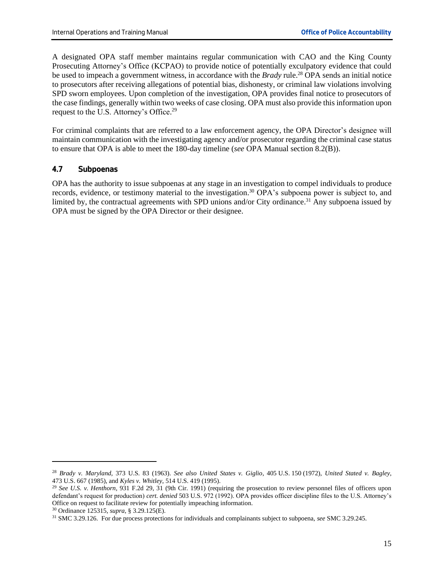A designated OPA staff member maintains regular communication with CAO and the King County Prosecuting Attorney's Office (KCPAO) to provide notice of potentially exculpatory evidence that could be used to impeach a government witness, in accordance with the *Brady* rule.<sup>28</sup> OPA sends an initial notice to prosecutors after receiving allegations of potential bias, dishonesty, or criminal law violations involving SPD sworn employees. Upon completion of the investigation, OPA provides final notice to prosecutors of the case findings, generally within two weeks of case closing. OPA must also provide this information upon request to the U.S. Attorney's Office.<sup>29</sup>

For criminal complaints that are referred to a law enforcement agency, the OPA Director's designee will maintain communication with the investigating agency and/or prosecutor regarding the criminal case status to ensure that OPA is able to meet the 180-day timeline (*see* OPA Manual section 8.2(B)).

## <span id="page-19-0"></span>**4.7 Subpoenas**

OPA has the authority to issue subpoenas at any stage in an investigation to compel individuals to produce records, evidence, or testimony material to the investigation.<sup>30</sup> OPA's subpoena power is subject to, and limited by, the contractual agreements with SPD unions and/or City ordinance.<sup>31</sup> Any subpoena issued by OPA must be signed by the OPA Director or their designee.

<sup>28</sup> *Brady v. Maryland*, 373 U.S. 83 (1963). *See also United States v. Giglio*, 405 U.S. 150 (1972), *United Stated v. Bagley*, 473 U.S. 667 (1985), and *Kyles v. Whitley*, 514 U.S. 419 (1995).

<sup>&</sup>lt;sup>29</sup> See U.S. v. Henthorn, 931 F.2d 29, 31 (9th Cir. 1991) (requiring the prosecution to review personnel files of officers upon defendant's request for production) *cert. denied* 503 U.S. 972 (1992). OPA provides officer discipline files to the U.S. Attorney's Office on request to facilitate review for potentially impeaching information.

<sup>30</sup> Ordinance 125315, *supra*, § 3.29.125(E).

<sup>31</sup> SMC 3.29.126. For due process protections for individuals and complainants subject to subpoena, *see* SMC 3.29.245.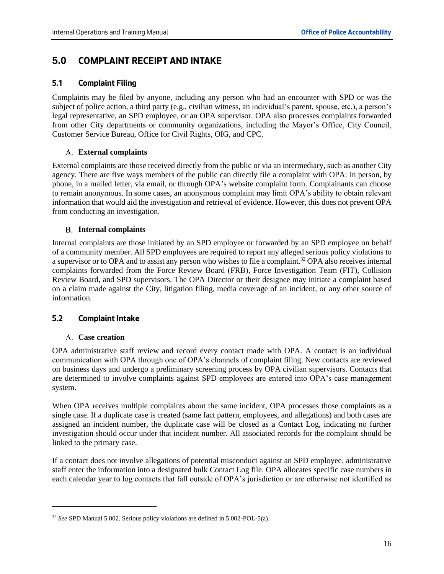## <span id="page-20-0"></span>**5.0 COMPLAINT RECEIPT AND INTAKE**

### <span id="page-20-1"></span>**5.1 Complaint Filing**

Complaints may be filed by anyone, including any person who had an encounter with SPD or was the subject of police action, a third party (e.g., civilian witness, an individual's parent, spouse, etc.), a person's legal representative, an SPD employee, or an OPA supervisor. OPA also processes complaints forwarded from other City departments or community organizations, including the Mayor's Office, City Council, Customer Service Bureau, Office for Civil Rights, OIG, and CPC.

### **External complaints**

External complaints are those received directly from the public or via an intermediary, such as another City agency. There are five ways members of the public can directly file a complaint with OPA: in person, by phone, in a mailed letter, via email, or through OPA's website complaint form. Complainants can choose to remain anonymous. In some cases, an anonymous complaint may limit OPA's ability to obtain relevant information that would aid the investigation and retrieval of evidence. However, this does not prevent OPA from conducting an investigation.

### **Internal complaints**

Internal complaints are those initiated by an SPD employee or forwarded by an SPD employee on behalf of a community member. All SPD employees are required to report any alleged serious policy violations to a supervisor or to OPA and to assist any person who wishes to file a complaint.<sup>32</sup> OPA also receives internal complaints forwarded from the Force Review Board (FRB), Force Investigation Team (FIT), Collision Review Board, and SPD supervisors. The OPA Director or their designee may initiate a complaint based on a claim made against the City, litigation filing, media coverage of an incident, or any other source of information.

## <span id="page-20-2"></span>**5.2 Complaint Intake**

#### **Case creation**

OPA administrative staff review and record every contact made with OPA. A contact is an individual communication with OPA through one of OPA's channels of complaint filing. New contacts are reviewed on business days and undergo a preliminary screening process by OPA civilian supervisors. Contacts that are determined to involve complaints against SPD employees are entered into OPA's case management system.

When OPA receives multiple complaints about the same incident, OPA processes those complaints as a single case. If a duplicate case is created (same fact pattern, employees, and allegations) and both cases are assigned an incident number, the duplicate case will be closed as a Contact Log, indicating no further investigation should occur under that incident number. All associated records for the complaint should be linked to the primary case.

If a contact does not involve allegations of potential misconduct against an SPD employee, administrative staff enter the information into a designated bulk Contact Log file. OPA allocates specific case numbers in each calendar year to log contacts that fall outside of OPA's jurisdiction or are otherwise not identified as

<sup>32</sup> *See* SPD Manual 5.002. Serious policy violations are defined in 5.002-POL-5(a).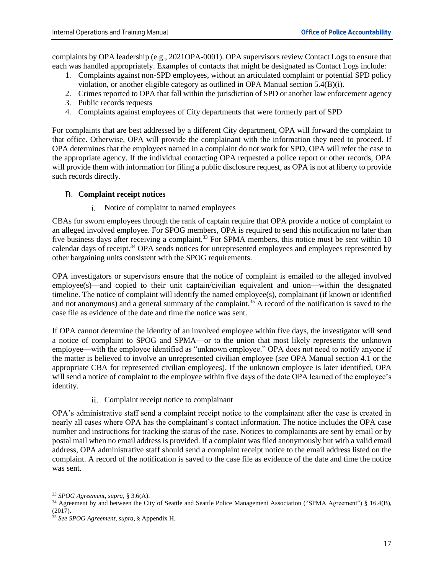complaints by OPA leadership (e.g., 2021OPA-0001). OPA supervisors review Contact Logs to ensure that each was handled appropriately. Examples of contacts that might be designated as Contact Logs include:

- 1. Complaints against non-SPD employees, without an articulated complaint or potential SPD policy violation, or another eligible category as outlined in OPA Manual section 5.4(B)(i).
- 2. Crimes reported to OPA that fall within the jurisdiction of SPD or another law enforcement agency
- 3. Public records requests
- 4. Complaints against employees of City departments that were formerly part of SPD

For complaints that are best addressed by a different City department, OPA will forward the complaint to that office. Otherwise, OPA will provide the complainant with the information they need to proceed. If OPA determines that the employees named in a complaint do not work for SPD, OPA will refer the case to the appropriate agency. If the individual contacting OPA requested a police report or other records, OPA will provide them with information for filing a public disclosure request, as OPA is not at liberty to provide such records directly.

#### **Complaint receipt notices**

i. Notice of complaint to named employees

CBAs for sworn employees through the rank of captain require that OPA provide a notice of complaint to an alleged involved employee. For SPOG members, OPA is required to send this notification no later than five business days after receiving a complaint.<sup>33</sup> For SPMA members, this notice must be sent within 10 calendar days of receipt.<sup>34</sup> OPA sends notices for unrepresented employees and employees represented by other bargaining units consistent with the SPOG requirements.

OPA investigators or supervisors ensure that the notice of complaint is emailed to the alleged involved employee(s)—and copied to their unit captain/civilian equivalent and union—within the designated timeline. The notice of complaint will identify the named employee(s), complainant (if known or identified and not anonymous) and a general summary of the complaint.<sup>35</sup> A record of the notification is saved to the case file as evidence of the date and time the notice was sent.

If OPA cannot determine the identity of an involved employee within five days, the investigator will send a notice of complaint to SPOG and SPMA—or to the union that most likely represents the unknown employee—with the employee identified as "unknown employee." OPA does not need to notify anyone if the matter is believed to involve an unrepresented civilian employee (*see* OPA Manual section 4.1 or the appropriate CBA for represented civilian employees). If the unknown employee is later identified, OPA will send a notice of complaint to the employee within five days of the date OPA learned of the employee's identity.

Complaint receipt notice to complainant

OPA's administrative staff send a complaint receipt notice to the complainant after the case is created in nearly all cases where OPA has the complainant's contact information. The notice includes the OPA case number and instructions for tracking the status of the case. Notices to complainants are sent by email or by postal mail when no email address is provided. If a complaint was filed anonymously but with a valid email address, OPA administrative staff should send a complaint receipt notice to the email address listed on the complaint. A record of the notification is saved to the case file as evidence of the date and time the notice was sent.

<sup>33</sup> *SPOG Agreement, supra,* § 3.6(A).

<sup>&</sup>lt;sup>34</sup> Agreement by and between the City of Seattle and Seattle Police Management Association ("SPMA Agreement") § 16.4(B), (2017).

<sup>35</sup> *See SPOG Agreement, supra,* § Appendix H.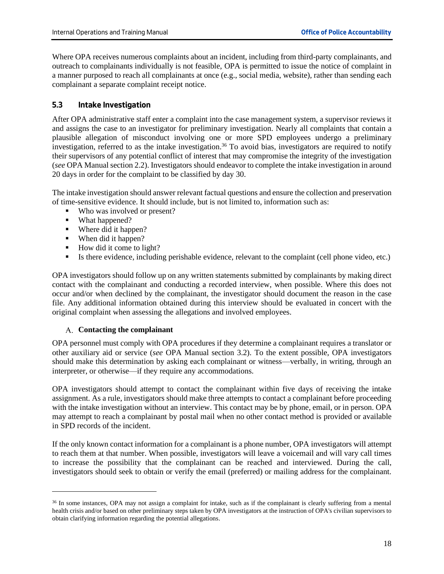Where OPA receives numerous complaints about an incident, including from third-party complainants, and outreach to complainants individually is not feasible, OPA is permitted to issue the notice of complaint in a manner purposed to reach all complainants at once (e.g., social media, website), rather than sending each complainant a separate complaint receipt notice.

## <span id="page-22-0"></span>**5.3 Intake Investigation**

After OPA administrative staff enter a complaint into the case management system, a supervisor reviews it and assigns the case to an investigator for preliminary investigation. Nearly all complaints that contain a plausible allegation of misconduct involving one or more SPD employees undergo a preliminary investigation, referred to as the intake investigation.<sup>36</sup> To avoid bias, investigators are required to notify their supervisors of any potential conflict of interest that may compromise the integrity of the investigation (*see* OPA Manual section 2.2). Investigators should endeavor to complete the intake investigation in around 20 days in order for the complaint to be classified by day 30.

The intake investigation should answer relevant factual questions and ensure the collection and preservation of time-sensitive evidence. It should include, but is not limited to, information such as:

- Who was involved or present?
- What happened?
- Where did it happen?
- When did it happen?
- How did it come to light?
- Is there evidence, including perishable evidence, relevant to the complaint (cell phone video, etc.)

OPA investigators should follow up on any written statements submitted by complainants by making direct contact with the complainant and conducting a recorded interview, when possible. Where this does not occur and/or when declined by the complainant, the investigator should document the reason in the case file. Any additional information obtained during this interview should be evaluated in concert with the original complaint when assessing the allegations and involved employees.

#### **Contacting the complainant**

OPA personnel must comply with OPA procedures if they determine a complainant requires a translator or other auxiliary aid or service (*see* OPA Manual section 3.2). To the extent possible, OPA investigators should make this determination by asking each complainant or witness—verbally, in writing, through an interpreter, or otherwise—if they require any accommodations.

OPA investigators should attempt to contact the complainant within five days of receiving the intake assignment. As a rule, investigators should make three attempts to contact a complainant before proceeding with the intake investigation without an interview. This contact may be by phone, email, or in person. OPA may attempt to reach a complainant by postal mail when no other contact method is provided or available in SPD records of the incident.

If the only known contact information for a complainant is a phone number, OPA investigators will attempt to reach them at that number. When possible, investigators will leave a voicemail and will vary call times to increase the possibility that the complainant can be reached and interviewed. During the call, investigators should seek to obtain or verify the email (preferred) or mailing address for the complainant.

<sup>&</sup>lt;sup>36</sup> In some instances, OPA may not assign a complaint for intake, such as if the complainant is clearly suffering from a mental health crisis and/or based on other preliminary steps taken by OPA investigators at the instruction of OPA's civilian supervisors to obtain clarifying information regarding the potential allegations.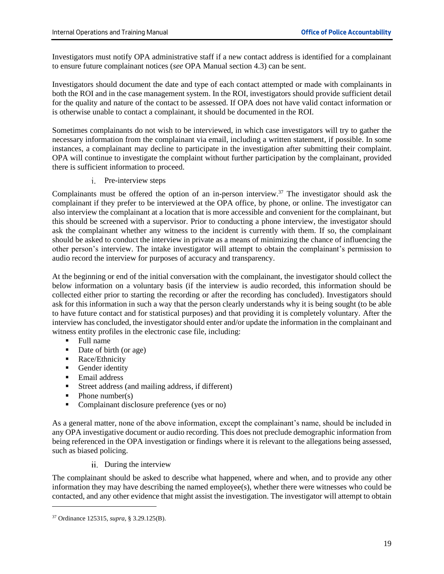Investigators must notify OPA administrative staff if a new contact address is identified for a complainant to ensure future complainant notices (*see* OPA Manual section 4.3) can be sent.

Investigators should document the date and type of each contact attempted or made with complainants in both the ROI and in the case management system. In the ROI, investigators should provide sufficient detail for the quality and nature of the contact to be assessed. If OPA does not have valid contact information or is otherwise unable to contact a complainant, it should be documented in the ROI.

Sometimes complainants do not wish to be interviewed, in which case investigators will try to gather the necessary information from the complainant via email, including a written statement, if possible. In some instances, a complainant may decline to participate in the investigation after submitting their complaint. OPA will continue to investigate the complaint without further participation by the complainant, provided there is sufficient information to proceed.

i. Pre-interview steps

Complainants must be offered the option of an in-person interview.<sup>37</sup> The investigator should ask the complainant if they prefer to be interviewed at the OPA office, by phone, or online. The investigator can also interview the complainant at a location that is more accessible and convenient for the complainant, but this should be screened with a supervisor. Prior to conducting a phone interview, the investigator should ask the complainant whether any witness to the incident is currently with them. If so, the complainant should be asked to conduct the interview in private as a means of minimizing the chance of influencing the other person's interview. The intake investigator will attempt to obtain the complainant's permission to audio record the interview for purposes of accuracy and transparency.

At the beginning or end of the initial conversation with the complainant, the investigator should collect the below information on a voluntary basis (if the interview is audio recorded, this information should be collected either prior to starting the recording or after the recording has concluded). Investigators should ask for this information in such a way that the person clearly understands why it is being sought (to be able to have future contact and for statistical purposes) and that providing it is completely voluntary. After the interview has concluded, the investigator should enter and/or update the information in the complainant and witness entity profiles in the electronic case file, including:

- Full name
- Date of birth (or age)
- Race/Ethnicity
- **■** Gender identity
- Email address
- Street address (and mailing address, if different)
- $\blacksquare$  Phone number(s)
- Complainant disclosure preference (yes or no)

As a general matter, none of the above information, except the complainant's name, should be included in any OPA investigative document or audio recording. This does not preclude demographic information from being referenced in the OPA investigation or findings where it is relevant to the allegations being assessed, such as biased policing.

During the interview

The complainant should be asked to describe what happened, where and when, and to provide any other information they may have describing the named employee(s), whether there were witnesses who could be contacted, and any other evidence that might assist the investigation. The investigator will attempt to obtain

<sup>37</sup> Ordinance 125315, *supra*, § 3.29.125(B).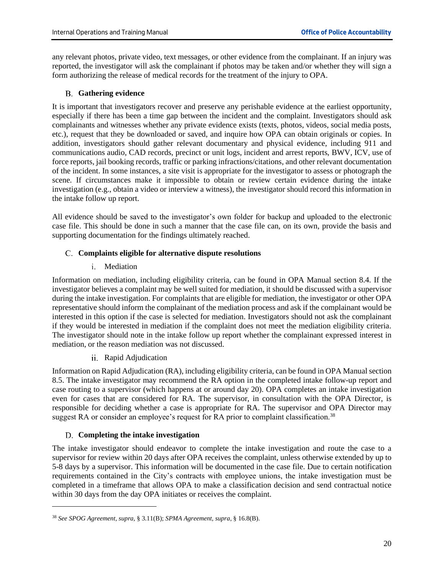any relevant photos, private video, text messages, or other evidence from the complainant. If an injury was reported, the investigator will ask the complainant if photos may be taken and/or whether they will sign a form authorizing the release of medical records for the treatment of the injury to OPA.

#### **Gathering evidence**

It is important that investigators recover and preserve any perishable evidence at the earliest opportunity, especially if there has been a time gap between the incident and the complaint. Investigators should ask complainants and witnesses whether any private evidence exists (texts, photos, videos, social media posts, etc.), request that they be downloaded or saved, and inquire how OPA can obtain originals or copies. In addition, investigators should gather relevant documentary and physical evidence, including 911 and communications audio, CAD records, precinct or unit logs, incident and arrest reports, BWV, ICV, use of force reports, jail booking records, traffic or parking infractions/citations, and other relevant documentation of the incident. In some instances, a site visit is appropriate for the investigator to assess or photograph the scene. If circumstances make it impossible to obtain or review certain evidence during the intake investigation (e.g., obtain a video or interview a witness), the investigator should record this information in the intake follow up report.

All evidence should be saved to the investigator's own folder for backup and uploaded to the electronic case file. This should be done in such a manner that the case file can, on its own, provide the basis and supporting documentation for the findings ultimately reached.

### **Complaints eligible for alternative dispute resolutions**

i. Mediation

Information on mediation, including eligibility criteria, can be found in OPA Manual section 8.4. If the investigator believes a complaint may be well suited for mediation, it should be discussed with a supervisor during the intake investigation. For complaints that are eligible for mediation, the investigator or other OPA representative should inform the complainant of the mediation process and ask if the complainant would be interested in this option if the case is selected for mediation. Investigators should not ask the complainant if they would be interested in mediation if the complaint does not meet the mediation eligibility criteria. The investigator should note in the intake follow up report whether the complainant expressed interest in mediation, or the reason mediation was not discussed.

#### Rapid Adjudication

Information on Rapid Adjudication (RA), including eligibility criteria, can be found in OPA Manual section 8.5. The intake investigator may recommend the RA option in the completed intake follow-up report and case routing to a supervisor (which happens at or around day 20). OPA completes an intake investigation even for cases that are considered for RA. The supervisor, in consultation with the OPA Director, is responsible for deciding whether a case is appropriate for RA. The supervisor and OPA Director may suggest RA or consider an employee's request for RA prior to complaint classification.<sup>38</sup>

## **Completing the intake investigation**

The intake investigator should endeavor to complete the intake investigation and route the case to a supervisor for review within 20 days after OPA receives the complaint, unless otherwise extended by up to 5-8 days by a supervisor. This information will be documented in the case file. Due to certain notification requirements contained in the City's contracts with employee unions, the intake investigation must be completed in a timeframe that allows OPA to make a classification decision and send contractual notice within 30 days from the day OPA initiates or receives the complaint.

<sup>38</sup> *See SPOG Agreement, supra,* § 3.11(B); *SPMA Agreement*, *supra*, § 16.8(B).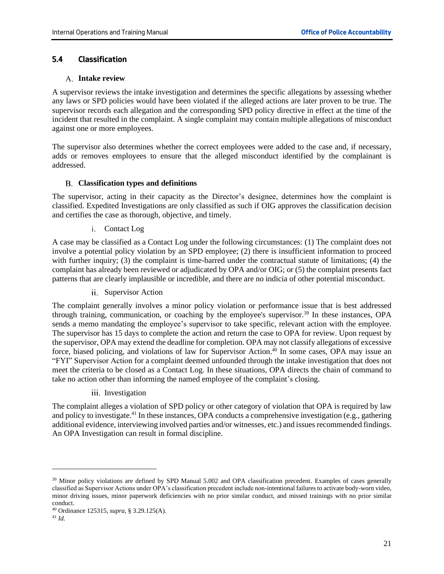## <span id="page-25-0"></span>**5.4 Classification**

### **Intake review**

A supervisor reviews the intake investigation and determines the specific allegations by assessing whether any laws or SPD policies would have been violated if the alleged actions are later proven to be true. The supervisor records each allegation and the corresponding SPD policy directive in effect at the time of the incident that resulted in the complaint. A single complaint may contain multiple allegations of misconduct against one or more employees.

The supervisor also determines whether the correct employees were added to the case and, if necessary, adds or removes employees to ensure that the alleged misconduct identified by the complainant is addressed.

### **Classification types and definitions**

The supervisor, acting in their capacity as the Director's designee, determines how the complaint is classified. Expedited Investigations are only classified as such if OIG approves the classification decision and certifies the case as thorough, objective, and timely.

i. Contact Log

A case may be classified as a Contact Log under the following circumstances: (1) The complaint does not involve a potential policy violation by an SPD employee; (2) there is insufficient information to proceed with further inquiry; (3) the complaint is time-barred under the contractual statute of limitations; (4) the complaint has already been reviewed or adjudicated by OPA and/or OIG; or (5) the complaint presents fact patterns that are clearly implausible or incredible, and there are no indicia of other potential misconduct.

ii. Supervisor Action

The complaint generally involves a minor policy violation or performance issue that is best addressed through training, communication, or coaching by the employee's supervisor.<sup>39</sup> In these instances, OPA sends a memo mandating the employee's supervisor to take specific, relevant action with the employee. The supervisor has 15 days to complete the action and return the case to OPA for review. Upon request by the supervisor, OPA may extend the deadline for completion. OPA may not classify allegations of excessive force, biased policing, and violations of law for Supervisor Action. <sup>40</sup> In some cases, OPA may issue an "FYI" Supervisor Action for a complaint deemed unfounded through the intake investigation that does not meet the criteria to be closed as a Contact Log. In these situations, OPA directs the chain of command to take no action other than informing the named employee of the complaint's closing.

iii. Investigation

The complaint alleges a violation of SPD policy or other category of violation that OPA is required by law and policy to investigate.<sup>41</sup> In these instances, OPA conducts a comprehensive investigation (e.g., gathering additional evidence, interviewing involved parties and/or witnesses, etc.) and issues recommended findings. An OPA Investigation can result in formal discipline.

<sup>&</sup>lt;sup>39</sup> Minor policy violations are defined by SPD Manual 5.002 and OPA classification precedent. Examples of cases generally classified as Supervisor Actions under OPA's classification precedent include non-intentional failures to activate body-worn video, minor driving issues, minor paperwork deficiencies with no prior similar conduct, and missed trainings with no prior similar conduct.

<sup>40</sup> Ordinance 125315, *supra*, § 3.29.125(A).

<sup>41</sup> *Id.*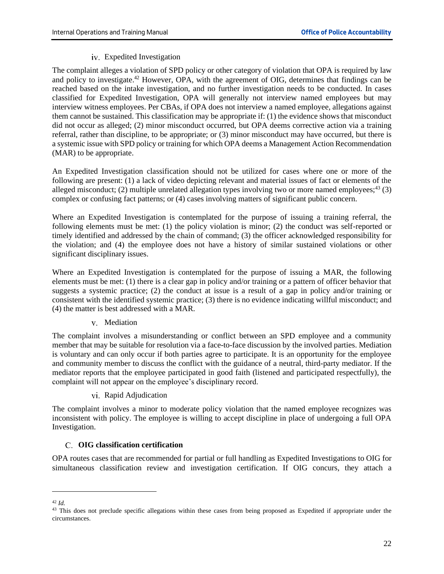### Expedited Investigation

The complaint alleges a violation of SPD policy or other category of violation that OPA is required by law and policy to investigate.<sup>42</sup> However, OPA, with the agreement of OIG, determines that findings can be reached based on the intake investigation, and no further investigation needs to be conducted. In cases classified for Expedited Investigation, OPA will generally not interview named employees but may interview witness employees. Per CBAs, if OPA does not interview a named employee, allegations against them cannot be sustained. This classification may be appropriate if: (1) the evidence shows that misconduct did not occur as alleged; (2) minor misconduct occurred, but OPA deems corrective action via a training referral, rather than discipline, to be appropriate; or (3) minor misconduct may have occurred, but there is a systemic issue with SPD policy or training for which OPA deems a Management Action Recommendation (MAR) to be appropriate.

An Expedited Investigation classification should not be utilized for cases where one or more of the following are present: (1) a lack of video depicting relevant and material issues of fact or elements of the alleged misconduct; (2) multiple unrelated allegation types involving two or more named employees;  $43$  (3) complex or confusing fact patterns; or (4) cases involving matters of significant public concern.

Where an Expedited Investigation is contemplated for the purpose of issuing a training referral, the following elements must be met: (1) the policy violation is minor; (2) the conduct was self-reported or timely identified and addressed by the chain of command; (3) the officer acknowledged responsibility for the violation; and (4) the employee does not have a history of similar sustained violations or other significant disciplinary issues.

Where an Expedited Investigation is contemplated for the purpose of issuing a MAR, the following elements must be met: (1) there is a clear gap in policy and/or training or a pattern of officer behavior that suggests a systemic practice; (2) the conduct at issue is a result of a gap in policy and/or training or consistent with the identified systemic practice; (3) there is no evidence indicating willful misconduct; and (4) the matter is best addressed with a MAR.

#### v. Mediation

The complaint involves a misunderstanding or conflict between an SPD employee and a community member that may be suitable for resolution via a face-to-face discussion by the involved parties. Mediation is voluntary and can only occur if both parties agree to participate. It is an opportunity for the employee and community member to discuss the conflict with the guidance of a neutral, third-party mediator. If the mediator reports that the employee participated in good faith (listened and participated respectfully), the complaint will not appear on the employee's disciplinary record.

#### vi. Rapid Adjudication

The complaint involves a minor to moderate policy violation that the named employee recognizes was inconsistent with policy. The employee is willing to accept discipline in place of undergoing a full OPA Investigation.

## **OIG classification certification**

OPA routes cases that are recommended for partial or full handling as Expedited Investigations to OIG for simultaneous classification review and investigation certification. If OIG concurs, they attach a

<sup>42</sup> *Id.*

<sup>&</sup>lt;sup>43</sup> This does not preclude specific allegations within these cases from being proposed as Expedited if appropriate under the circumstances.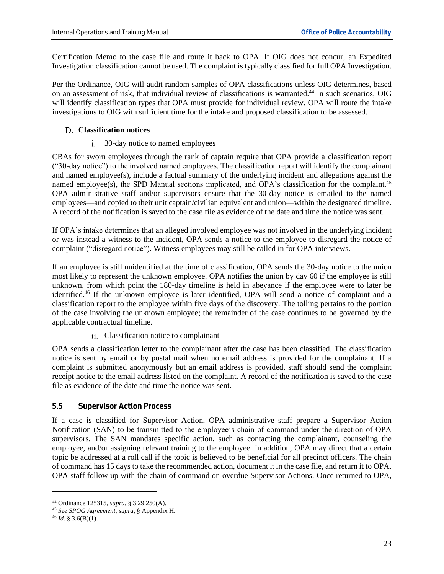Certification Memo to the case file and route it back to OPA. If OIG does not concur, an Expedited Investigation classification cannot be used. The complaint is typically classified for full OPA Investigation.

Per the Ordinance, OIG will audit random samples of OPA classifications unless OIG determines, based on an assessment of risk, that individual review of classifications is warranted.<sup>44</sup> In such scenarios, OIG will identify classification types that OPA must provide for individual review. OPA will route the intake investigations to OIG with sufficient time for the intake and proposed classification to be assessed.

### **Classification notices**

30-day notice to named employees

CBAs for sworn employees through the rank of captain require that OPA provide a classification report ("30-day notice") to the involved named employees. The classification report will identify the complainant and named employee(s), include a factual summary of the underlying incident and allegations against the named employee(s), the SPD Manual sections implicated, and OPA's classification for the complaint.<sup>45</sup> OPA administrative staff and/or supervisors ensure that the 30-day notice is emailed to the named employees—and copied to their unit captain/civilian equivalent and union—within the designated timeline. A record of the notification is saved to the case file as evidence of the date and time the notice was sent.

If OPA's intake determines that an alleged involved employee was not involved in the underlying incident or was instead a witness to the incident, OPA sends a notice to the employee to disregard the notice of complaint ("disregard notice"). Witness employees may still be called in for OPA interviews.

If an employee is still unidentified at the time of classification, OPA sends the 30-day notice to the union most likely to represent the unknown employee. OPA notifies the union by day 60 if the employee is still unknown, from which point the 180-day timeline is held in abeyance if the employee were to later be identified.<sup>46</sup> If the unknown employee is later identified, OPA will send a notice of complaint and a classification report to the employee within five days of the discovery. The tolling pertains to the portion of the case involving the unknown employee; the remainder of the case continues to be governed by the applicable contractual timeline.

Classification notice to complainant

OPA sends a classification letter to the complainant after the case has been classified. The classification notice is sent by email or by postal mail when no email address is provided for the complainant. If a complaint is submitted anonymously but an email address is provided, staff should send the complaint receipt notice to the email address listed on the complaint. A record of the notification is saved to the case file as evidence of the date and time the notice was sent.

## <span id="page-27-0"></span>**5.5 Supervisor Action Process**

If a case is classified for Supervisor Action, OPA administrative staff prepare a Supervisor Action Notification (SAN) to be transmitted to the employee's chain of command under the direction of OPA supervisors. The SAN mandates specific action, such as contacting the complainant, counseling the employee, and/or assigning relevant training to the employee. In addition, OPA may direct that a certain topic be addressed at a roll call if the topic is believed to be beneficial for all precinct officers. The chain of command has 15 days to take the recommended action, document it in the case file, and return it to OPA. OPA staff follow up with the chain of command on overdue Supervisor Actions. Once returned to OPA,

<sup>44</sup> Ordinance 125315, *supra*, § 3.29.250(A).

<sup>45</sup> *See SPOG Agreement, supra,* § Appendix H.

 $46$  *Id.* § 3.6(B)(1).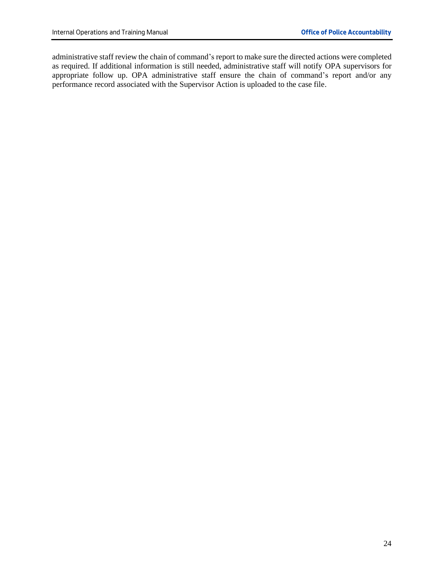administrative staff review the chain of command's report to make sure the directed actions were completed as required. If additional information is still needed, administrative staff will notify OPA supervisors for appropriate follow up. OPA administrative staff ensure the chain of command's report and/or any performance record associated with the Supervisor Action is uploaded to the case file.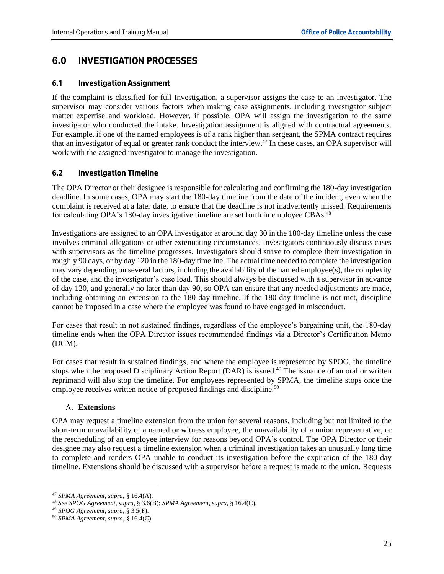## <span id="page-29-0"></span>**6.0 INVESTIGATION PROCESSES**

#### <span id="page-29-1"></span>**6.1 Investigation Assignment**

If the complaint is classified for full Investigation, a supervisor assigns the case to an investigator. The supervisor may consider various factors when making case assignments, including investigator subject matter expertise and workload. However, if possible, OPA will assign the investigation to the same investigator who conducted the intake. Investigation assignment is aligned with contractual agreements. For example, if one of the named employees is of a rank higher than sergeant, the SPMA contract requires that an investigator of equal or greater rank conduct the interview.<sup>47</sup> In these cases, an OPA supervisor will work with the assigned investigator to manage the investigation.

## <span id="page-29-2"></span>**6.2 Investigation Timeline**

The OPA Director or their designee is responsible for calculating and confirming the 180-day investigation deadline. In some cases, OPA may start the 180-day timeline from the date of the incident, even when the complaint is received at a later date, to ensure that the deadline is not inadvertently missed. Requirements for calculating OPA's 180-day investigative timeline are set forth in employee CBAs.<sup>48</sup>

Investigations are assigned to an OPA investigator at around day 30 in the 180-day timeline unless the case involves criminal allegations or other extenuating circumstances. Investigators continuously discuss cases with supervisors as the timeline progresses. Investigators should strive to complete their investigation in roughly 90 days, or by day 120 in the 180-day timeline. The actual time needed to complete the investigation may vary depending on several factors, including the availability of the named employee(s), the complexity of the case, and the investigator's case load. This should always be discussed with a supervisor in advance of day 120, and generally no later than day 90, so OPA can ensure that any needed adjustments are made, including obtaining an extension to the 180-day timeline. If the 180-day timeline is not met, discipline cannot be imposed in a case where the employee was found to have engaged in misconduct.

For cases that result in not sustained findings, regardless of the employee's bargaining unit, the 180-day timeline ends when the OPA Director issues recommended findings via a Director's Certification Memo (DCM).

For cases that result in sustained findings, and where the employee is represented by SPOG, the timeline stops when the proposed Disciplinary Action Report (DAR) is issued.<sup>49</sup> The issuance of an oral or written reprimand will also stop the timeline. For employees represented by SPMA, the timeline stops once the employee receives written notice of proposed findings and discipline.<sup>50</sup>

#### **Extensions**

OPA may request a timeline extension from the union for several reasons, including but not limited to the short-term unavailability of a named or witness employee, the unavailability of a union representative, or the rescheduling of an employee interview for reasons beyond OPA's control. The OPA Director or their designee may also request a timeline extension when a criminal investigation takes an unusually long time to complete and renders OPA unable to conduct its investigation before the expiration of the 180-day timeline. Extensions should be discussed with a supervisor before a request is made to the union. Requests

<sup>47</sup> *SPMA Agreement*, *supra*, § 16.4(A).

<sup>48</sup> *See SPOG Agreement, supra,* § 3.6(B); *SPMA Agreement, supra,* § 16.4(C).

<sup>49</sup> *SPOG Agreement, supra,* § 3.5(F).

<sup>50</sup> *SPMA Agreement, supra,* § 16.4(C).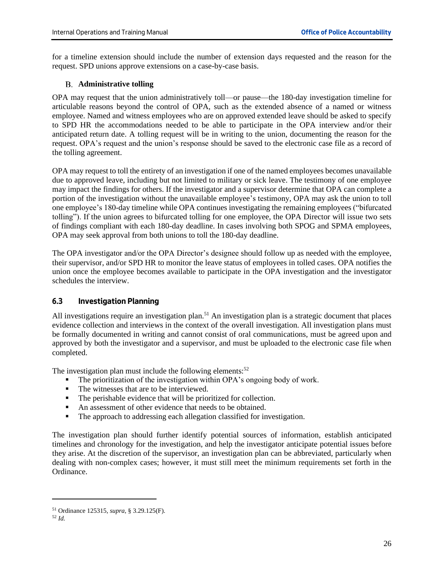for a timeline extension should include the number of extension days requested and the reason for the request. SPD unions approve extensions on a case-by-case basis.

### **Administrative tolling**

OPA may request that the union administratively toll—or pause—the 180-day investigation timeline for articulable reasons beyond the control of OPA, such as the extended absence of a named or witness employee. Named and witness employees who are on approved extended leave should be asked to specify to SPD HR the accommodations needed to be able to participate in the OPA interview and/or their anticipated return date. A tolling request will be in writing to the union, documenting the reason for the request. OPA's request and the union's response should be saved to the electronic case file as a record of the tolling agreement.

OPA may request to toll the entirety of an investigation if one of the named employees becomes unavailable due to approved leave, including but not limited to military or sick leave. The testimony of one employee may impact the findings for others. If the investigator and a supervisor determine that OPA can complete a portion of the investigation without the unavailable employee's testimony, OPA may ask the union to toll one employee's 180-day timeline while OPA continues investigating the remaining employees ("bifurcated tolling"). If the union agrees to bifurcated tolling for one employee, the OPA Director will issue two sets of findings compliant with each 180-day deadline. In cases involving both SPOG and SPMA employees, OPA may seek approval from both unions to toll the 180-day deadline.

The OPA investigator and/or the OPA Director's designee should follow up as needed with the employee, their supervisor, and/or SPD HR to monitor the leave status of employees in tolled cases. OPA notifies the union once the employee becomes available to participate in the OPA investigation and the investigator schedules the interview.

## <span id="page-30-0"></span>**6.3 Investigation Planning**

All investigations require an investigation plan.<sup>51</sup> An investigation plan is a strategic document that places evidence collection and interviews in the context of the overall investigation. All investigation plans must be formally documented in writing and cannot consist of oral communications, must be agreed upon and approved by both the investigator and a supervisor, and must be uploaded to the electronic case file when completed.

The investigation plan must include the following elements: $52$ 

- The prioritization of the investigation within OPA's ongoing body of work.
- The witnesses that are to be interviewed.
- The perishable evidence that will be prioritized for collection.
- An assessment of other evidence that needs to be obtained.
- The approach to addressing each allegation classified for investigation.

The investigation plan should further identify potential sources of information, establish anticipated timelines and chronology for the investigation, and help the investigator anticipate potential issues before they arise. At the discretion of the supervisor, an investigation plan can be abbreviated, particularly when dealing with non-complex cases; however, it must still meet the minimum requirements set forth in the Ordinance.

<sup>51</sup> Ordinance 125315, *supra*, § 3.29.125(F).

<sup>52</sup> *Id.*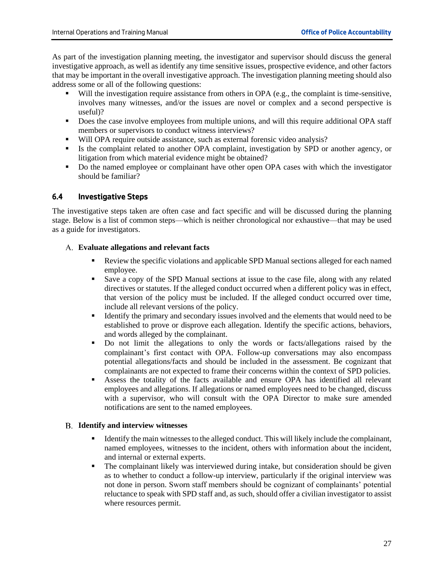As part of the investigation planning meeting, the investigator and supervisor should discuss the general investigative approach, as well as identify any time sensitive issues, prospective evidence, and other factors that may be important in the overall investigative approach. The investigation planning meeting should also address some or all of the following questions:

- Will the investigation require assistance from others in OPA (e.g., the complaint is time-sensitive, involves many witnesses, and/or the issues are novel or complex and a second perspective is useful)?
- Does the case involve employees from multiple unions, and will this require additional OPA staff members or supervisors to conduct witness interviews?
- Will OPA require outside assistance, such as external forensic video analysis?
- Is the complaint related to another OPA complaint, investigation by SPD or another agency, or litigation from which material evidence might be obtained?
- Do the named employee or complainant have other open OPA cases with which the investigator should be familiar?

## <span id="page-31-0"></span>**6.4 Investigative Steps**

The investigative steps taken are often case and fact specific and will be discussed during the planning stage. Below is a list of common steps—which is neither chronological nor exhaustive—that may be used as a guide for investigators.

### **Evaluate allegations and relevant facts**

- **•** Review the specific violations and applicable SPD Manual sections alleged for each named employee.
- Save a copy of the SPD Manual sections at issue to the case file, along with any related directives or statutes. If the alleged conduct occurred when a different policy was in effect, that version of the policy must be included. If the alleged conduct occurred over time, include all relevant versions of the policy.
- Identify the primary and secondary issues involved and the elements that would need to be established to prove or disprove each allegation. Identify the specific actions, behaviors, and words alleged by the complainant.
- Do not limit the allegations to only the words or facts/allegations raised by the complainant's first contact with OPA. Follow-up conversations may also encompass potential allegations/facts and should be included in the assessment. Be cognizant that complainants are not expected to frame their concerns within the context of SPD policies.
- Assess the totality of the facts available and ensure OPA has identified all relevant employees and allegations. If allegations or named employees need to be changed, discuss with a supervisor, who will consult with the OPA Director to make sure amended notifications are sent to the named employees.

#### **Identify and interview witnesses**

- Identify the main witnesses to the alleged conduct. This will likely include the complainant, named employees, witnesses to the incident, others with information about the incident, and internal or external experts.
- **•** The complainant likely was interviewed during intake, but consideration should be given as to whether to conduct a follow-up interview, particularly if the original interview was not done in person. Sworn staff members should be cognizant of complainants' potential reluctance to speak with SPD staff and, as such, should offer a civilian investigator to assist where resources permit.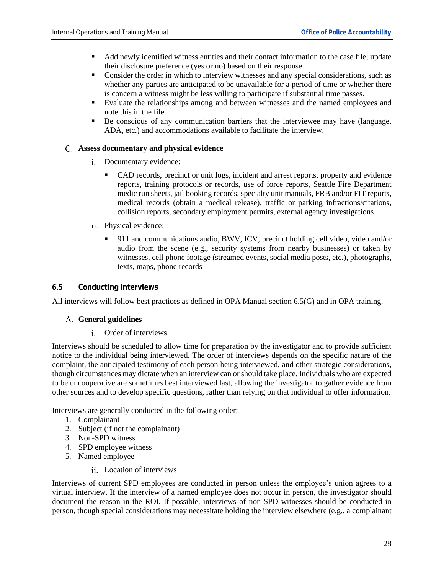- Add newly identified witness entities and their contact information to the case file; update their disclosure preference (yes or no) based on their response.
- **•** Consider the order in which to interview witnesses and any special considerations, such as whether any parties are anticipated to be unavailable for a period of time or whether there is concern a witness might be less willing to participate if substantial time passes.
- Evaluate the relationships among and between witnesses and the named employees and note this in the file.
- Be conscious of any communication barriers that the interviewee may have (language, ADA, etc.) and accommodations available to facilitate the interview.

#### **Assess documentary and physical evidence**

- Documentary evidence:
	- CAD records, precinct or unit logs, incident and arrest reports, property and evidence reports, training protocols or records, use of force reports, Seattle Fire Department medic run sheets, jail booking records, specialty unit manuals, FRB and/or FIT reports, medical records (obtain a medical release), traffic or parking infractions/citations, collision reports, secondary employment permits, external agency investigations
- Physical evidence:
	- 911 and communications audio, BWV, ICV, precinct holding cell video, video and/or audio from the scene (e.g., security systems from nearby businesses) or taken by witnesses, cell phone footage (streamed events, social media posts, etc.), photographs, texts, maps, phone records

### <span id="page-32-0"></span>**6.5 Conducting Interviews**

All interviews will follow best practices as defined in OPA Manual section 6.5(G) and in OPA training.

#### **General guidelines**

Order of interviews

Interviews should be scheduled to allow time for preparation by the investigator and to provide sufficient notice to the individual being interviewed. The order of interviews depends on the specific nature of the complaint, the anticipated testimony of each person being interviewed, and other strategic considerations, though circumstances may dictate when an interview can or should take place. Individuals who are expected to be uncooperative are sometimes best interviewed last, allowing the investigator to gather evidence from other sources and to develop specific questions, rather than relying on that individual to offer information.

Interviews are generally conducted in the following order:

- 1. Complainant
- 2. Subject (if not the complainant)
- 3. Non-SPD witness
- 4. SPD employee witness
- 5. Named employee
	- Location of interviews

Interviews of current SPD employees are conducted in person unless the employee's union agrees to a virtual interview. If the interview of a named employee does not occur in person, the investigator should document the reason in the ROI. If possible, interviews of non-SPD witnesses should be conducted in person, though special considerations may necessitate holding the interview elsewhere (e.g., a complainant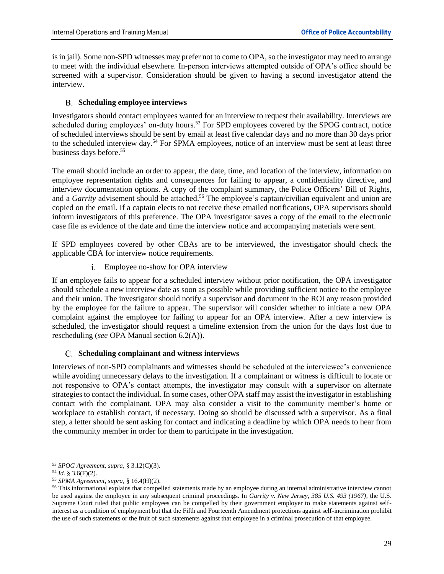is in jail). Some non-SPD witnesses may prefer not to come to OPA, so the investigator may need to arrange to meet with the individual elsewhere. In-person interviews attempted outside of OPA's office should be screened with a supervisor. Consideration should be given to having a second investigator attend the interview.

### **Scheduling employee interviews**

Investigators should contact employees wanted for an interview to request their availability. Interviews are scheduled during employees' on-duty hours.<sup>53</sup> For SPD employees covered by the SPOG contract, notice of scheduled interviews should be sent by email at least five calendar days and no more than 30 days prior to the scheduled interview day.<sup>54</sup> For SPMA employees, notice of an interview must be sent at least three business days before.<sup>55</sup>

The email should include an order to appear, the date, time, and location of the interview, information on employee representation rights and consequences for failing to appear, a confidentiality directive, and interview documentation options. A copy of the complaint summary, the Police Officers' Bill of Rights, and a *Garrity* advisement should be attached. <sup>56</sup> The employee's captain/civilian equivalent and union are copied on the email. If a captain elects to not receive these emailed notifications, OPA supervisors should inform investigators of this preference. The OPA investigator saves a copy of the email to the electronic case file as evidence of the date and time the interview notice and accompanying materials were sent.

If SPD employees covered by other CBAs are to be interviewed, the investigator should check the applicable CBA for interview notice requirements.

Employee no-show for OPA interview

If an employee fails to appear for a scheduled interview without prior notification, the OPA investigator should schedule a new interview date as soon as possible while providing sufficient notice to the employee and their union. The investigator should notify a supervisor and document in the ROI any reason provided by the employee for the failure to appear. The supervisor will consider whether to initiate a new OPA complaint against the employee for failing to appear for an OPA interview. After a new interview is scheduled, the investigator should request a timeline extension from the union for the days lost due to rescheduling (*see* OPA Manual section 6.2(A)).

#### **Scheduling complainant and witness interviews**

Interviews of non-SPD complainants and witnesses should be scheduled at the interviewee's convenience while avoiding unnecessary delays to the investigation. If a complainant or witness is difficult to locate or not responsive to OPA's contact attempts, the investigator may consult with a supervisor on alternate strategies to contact the individual. In some cases, other OPA staff may assist the investigator in establishing contact with the complainant. OPA may also consider a visit to the community member's home or workplace to establish contact, if necessary. Doing so should be discussed with a supervisor. As a final step, a letter should be sent asking for contact and indicating a deadline by which OPA needs to hear from the community member in order for them to participate in the investigation.

<sup>53</sup> *SPOG Agreement, supra,* § 3.12(C)(3).

<sup>54</sup> *Id.* § 3.6(F)(2).

<sup>55</sup> *SPMA Agreement, supra,* § 16.4(H)(2).

<sup>&</sup>lt;sup>56</sup> This informational explains that compelled statements made by an employee during an internal administrative interview cannot be used against the employee in any subsequent criminal proceedings. In *Garrity v. New Jersey, 385 U.S. 493 (1967)*, the U.S. Supreme Court ruled that public employees can be compelled by their government employer to make statements against selfinterest as a condition of employment but that the Fifth and Fourteenth Amendment protections against self-incrimination prohibit the use of such statements or the fruit of such statements against that employee in a criminal prosecution of that employee.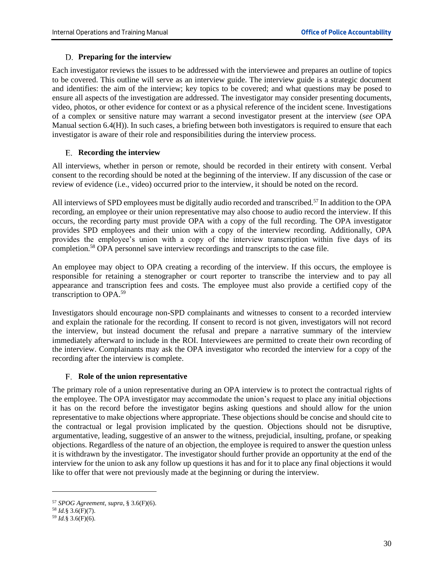#### **Preparing for the interview**

Each investigator reviews the issues to be addressed with the interviewee and prepares an outline of topics to be covered. This outline will serve as an interview guide. The interview guide is a strategic document and identifies: the aim of the interview; key topics to be covered; and what questions may be posed to ensure all aspects of the investigation are addressed. The investigator may consider presenting documents, video, photos, or other evidence for context or as a physical reference of the incident scene. Investigations of a complex or sensitive nature may warrant a second investigator present at the interview (*see* OPA Manual section 6.4(H)). In such cases, a briefing between both investigators is required to ensure that each investigator is aware of their role and responsibilities during the interview process.

### **Recording the interview**

All interviews, whether in person or remote, should be recorded in their entirety with consent. Verbal consent to the recording should be noted at the beginning of the interview. If any discussion of the case or review of evidence (i.e., video) occurred prior to the interview, it should be noted on the record.

All interviews of SPD employees must be digitally audio recorded and transcribed.<sup>57</sup> In addition to the OPA recording, an employee or their union representative may also choose to audio record the interview. If this occurs, the recording party must provide OPA with a copy of the full recording. The OPA investigator provides SPD employees and their union with a copy of the interview recording. Additionally, OPA provides the employee's union with a copy of the interview transcription within five days of its completion.<sup>58</sup> OPA personnel save interview recordings and transcripts to the case file.

An employee may object to OPA creating a recording of the interview. If this occurs, the employee is responsible for retaining a stenographer or court reporter to transcribe the interview and to pay all appearance and transcription fees and costs. The employee must also provide a certified copy of the transcription to OPA.<sup>59</sup>

Investigators should encourage non-SPD complainants and witnesses to consent to a recorded interview and explain the rationale for the recording. If consent to record is not given, investigators will not record the interview, but instead document the refusal and prepare a narrative summary of the interview immediately afterward to include in the ROI. Interviewees are permitted to create their own recording of the interview. Complainants may ask the OPA investigator who recorded the interview for a copy of the recording after the interview is complete.

#### **Role of the union representative**

The primary role of a union representative during an OPA interview is to protect the contractual rights of the employee. The OPA investigator may accommodate the union's request to place any initial objections it has on the record before the investigator begins asking questions and should allow for the union representative to make objections where appropriate. These objections should be concise and should cite to the contractual or legal provision implicated by the question. Objections should not be disruptive, argumentative, leading, suggestive of an answer to the witness, prejudicial, insulting, profane, or speaking objections. Regardless of the nature of an objection, the employee is required to answer the question unless it is withdrawn by the investigator. The investigator should further provide an opportunity at the end of the interview for the union to ask any follow up questions it has and for it to place any final objections it would like to offer that were not previously made at the beginning or during the interview.

<sup>57</sup> *SPOG Agreement, supra,* § 3.6(F)(6).

<sup>58</sup> *Id.*§ 3.6(F)(7).

<sup>59</sup> *Id.*§ 3.6(F)(6).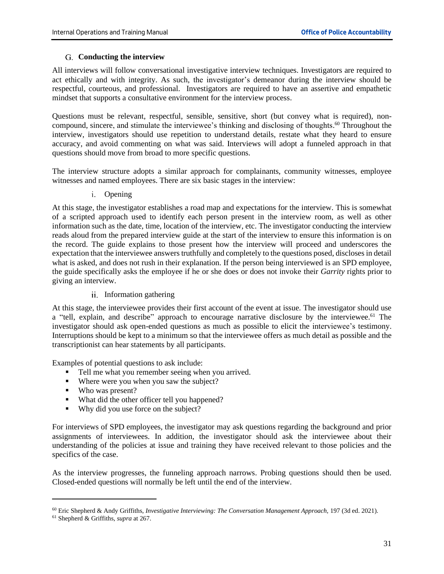#### **Conducting the interview**

All interviews will follow conversational investigative interview techniques. Investigators are required to act ethically and with integrity. As such, the investigator's demeanor during the interview should be respectful, courteous, and professional. Investigators are required to have an assertive and empathetic mindset that supports a consultative environment for the interview process.

Questions must be relevant, respectful, sensible, sensitive, short (but convey what is required), noncompound, sincere, and stimulate the interviewee's thinking and disclosing of thoughts. <sup>60</sup> Throughout the interview, investigators should use repetition to understand details, restate what they heard to ensure accuracy, and avoid commenting on what was said. Interviews will adopt a funneled approach in that questions should move from broad to more specific questions.

The interview structure adopts a similar approach for complainants, community witnesses, employee witnesses and named employees. There are six basic stages in the interview:

Opening

At this stage, the investigator establishes a road map and expectations for the interview. This is somewhat of a scripted approach used to identify each person present in the interview room, as well as other information such as the date, time, location of the interview, etc. The investigator conducting the interview reads aloud from the prepared interview guide at the start of the interview to ensure this information is on the record. The guide explains to those present how the interview will proceed and underscores the expectation that the interviewee answers truthfully and completely to the questions posed, discloses in detail what is asked, and does not rush in their explanation. If the person being interviewed is an SPD employee, the guide specifically asks the employee if he or she does or does not invoke their *Garrity* rights prior to giving an interview.

#### ii. Information gathering

At this stage, the interviewee provides their first account of the event at issue. The investigator should use a "tell, explain, and describe" approach to encourage narrative disclosure by the interviewee.<sup>61</sup> The investigator should ask open-ended questions as much as possible to elicit the interviewee's testimony. Interruptions should be kept to a minimum so that the interviewee offers as much detail as possible and the transcriptionist can hear statements by all participants.

Examples of potential questions to ask include:

- Tell me what you remember seeing when you arrived.
- Where were you when you saw the subject?
- Who was present?
- What did the other officer tell you happened?
- Why did you use force on the subject?

For interviews of SPD employees, the investigator may ask questions regarding the background and prior assignments of interviewees. In addition, the investigator should ask the interviewee about their understanding of the policies at issue and training they have received relevant to those policies and the specifics of the case.

As the interview progresses, the funneling approach narrows. Probing questions should then be used. Closed-ended questions will normally be left until the end of the interview.

<sup>60</sup> Eric Shepherd & Andy Griffiths, *Investigative Interviewing: The Conversation Management Approach,* 197 (3d ed. 2021).

<sup>61</sup> Shepherd & Griffiths, *supra* at 267.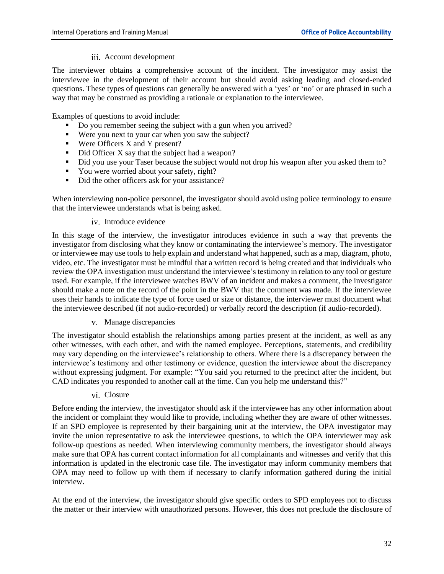#### Account development

The interviewer obtains a comprehensive account of the incident. The investigator may assist the interviewee in the development of their account but should avoid asking leading and closed-ended questions. These types of questions can generally be answered with a 'yes' or 'no' or are phrased in such a way that may be construed as providing a rationale or explanation to the interviewee.

Examples of questions to avoid include:

- Do you remember seeing the subject with a gun when you arrived?
- Were you next to your car when you saw the subject?
- Were Officers X and Y present?
- Did Officer X say that the subject had a weapon?
- Did you use your Taser because the subject would not drop his weapon after you asked them to?
- You were worried about your safety, right?
- Did the other officers ask for your assistance?

When interviewing non-police personnel, the investigator should avoid using police terminology to ensure that the interviewee understands what is being asked.

#### iv. Introduce evidence

In this stage of the interview, the investigator introduces evidence in such a way that prevents the investigator from disclosing what they know or contaminating the interviewee's memory. The investigator or interviewee may use tools to help explain and understand what happened, such as a map, diagram, photo, video, etc. The investigator must be mindful that a written record is being created and that individuals who review the OPA investigation must understand the interviewee's testimony in relation to any tool or gesture used. For example, if the interviewee watches BWV of an incident and makes a comment, the investigator should make a note on the record of the point in the BWV that the comment was made. If the interviewee uses their hands to indicate the type of force used or size or distance, the interviewer must document what the interviewee described (if not audio-recorded) or verbally record the description (if audio-recorded).

Manage discrepancies

The investigator should establish the relationships among parties present at the incident, as well as any other witnesses, with each other, and with the named employee. Perceptions, statements, and credibility may vary depending on the interviewee's relationship to others. Where there is a discrepancy between the interviewee's testimony and other testimony or evidence, question the interviewee about the discrepancy without expressing judgment. For example: "You said you returned to the precinct after the incident, but CAD indicates you responded to another call at the time. Can you help me understand this?"

vi. Closure

Before ending the interview, the investigator should ask if the interviewee has any other information about the incident or complaint they would like to provide, including whether they are aware of other witnesses. If an SPD employee is represented by their bargaining unit at the interview, the OPA investigator may invite the union representative to ask the interviewee questions, to which the OPA interviewer may ask follow-up questions as needed. When interviewing community members, the investigator should always make sure that OPA has current contact information for all complainants and witnesses and verify that this information is updated in the electronic case file. The investigator may inform community members that OPA may need to follow up with them if necessary to clarify information gathered during the initial interview.

At the end of the interview, the investigator should give specific orders to SPD employees not to discuss the matter or their interview with unauthorized persons. However, this does not preclude the disclosure of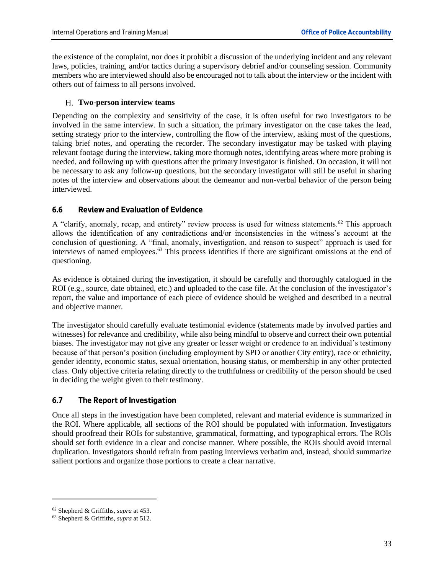the existence of the complaint, nor does it prohibit a discussion of the underlying incident and any relevant laws, policies, training, and/or tactics during a supervisory debrief and/or counseling session. Community members who are interviewed should also be encouraged not to talk about the interview or the incident with others out of fairness to all persons involved.

### **Two-person interview teams**

Depending on the complexity and sensitivity of the case, it is often useful for two investigators to be involved in the same interview. In such a situation, the primary investigator on the case takes the lead, setting strategy prior to the interview, controlling the flow of the interview, asking most of the questions, taking brief notes, and operating the recorder. The secondary investigator may be tasked with playing relevant footage during the interview, taking more thorough notes, identifying areas where more probing is needed, and following up with questions after the primary investigator is finished. On occasion, it will not be necessary to ask any follow-up questions, but the secondary investigator will still be useful in sharing notes of the interview and observations about the demeanor and non-verbal behavior of the person being interviewed.

## <span id="page-37-0"></span>**6.6 Review and Evaluation of Evidence**

A "clarify, anomaly, recap, and entirety" review process is used for witness statements.<sup>62</sup> This approach allows the identification of any contradictions and/or inconsistencies in the witness's account at the conclusion of questioning. A "final, anomaly, investigation, and reason to suspect" approach is used for interviews of named employees.<sup>63</sup> This process identifies if there are significant omissions at the end of questioning.

As evidence is obtained during the investigation, it should be carefully and thoroughly catalogued in the ROI (e.g., source, date obtained, etc.) and uploaded to the case file. At the conclusion of the investigator's report, the value and importance of each piece of evidence should be weighed and described in a neutral and objective manner.

The investigator should carefully evaluate testimonial evidence (statements made by involved parties and witnesses) for relevance and credibility, while also being mindful to observe and correct their own potential biases. The investigator may not give any greater or lesser weight or credence to an individual's testimony because of that person's position (including employment by SPD or another City entity), race or ethnicity, gender identity, economic status, sexual orientation, housing status, or membership in any other protected class. Only objective criteria relating directly to the truthfulness or credibility of the person should be used in deciding the weight given to their testimony.

## <span id="page-37-1"></span>**6.7 The Report of Investigation**

Once all steps in the investigation have been completed, relevant and material evidence is summarized in the ROI. Where applicable, all sections of the ROI should be populated with information. Investigators should proofread their ROIs for substantive, grammatical, formatting, and typographical errors. The ROIs should set forth evidence in a clear and concise manner. Where possible, the ROIs should avoid internal duplication. Investigators should refrain from pasting interviews verbatim and, instead, should summarize salient portions and organize those portions to create a clear narrative.

<sup>62</sup> Shepherd & Griffiths, *supra* at 453.

<sup>63</sup> Shepherd & Griffiths, *supra* at 512.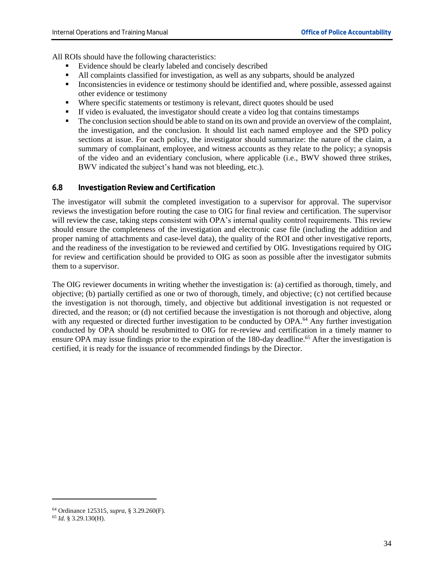All ROIs should have the following characteristics:

- Evidence should be clearly labeled and concisely described
- All complaints classified for investigation, as well as any subparts, should be analyzed
- **•** Inconsistencies in evidence or testimony should be identified and, where possible, assessed against other evidence or testimony
- Where specific statements or testimony is relevant, direct quotes should be used
- If video is evaluated, the investigator should create a video log that contains timestamps
- The conclusion section should be able to stand on its own and provide an overview of the complaint, the investigation, and the conclusion. It should list each named employee and the SPD policy sections at issue. For each policy, the investigator should summarize: the nature of the claim, a summary of complainant, employee, and witness accounts as they relate to the policy; a synopsis of the video and an evidentiary conclusion, where applicable (i.e., BWV showed three strikes, BWV indicated the subject's hand was not bleeding, etc.).

## <span id="page-38-0"></span>**6.8 Investigation Review and Certification**

The investigator will submit the completed investigation to a supervisor for approval. The supervisor reviews the investigation before routing the case to OIG for final review and certification. The supervisor will review the case, taking steps consistent with OPA's internal quality control requirements. This review should ensure the completeness of the investigation and electronic case file (including the addition and proper naming of attachments and case-level data), the quality of the ROI and other investigative reports, and the readiness of the investigation to be reviewed and certified by OIG. Investigations required by OIG for review and certification should be provided to OIG as soon as possible after the investigator submits them to a supervisor.

The OIG reviewer documents in writing whether the investigation is: (a) certified as thorough, timely, and objective; (b) partially certified as one or two of thorough, timely, and objective; (c) not certified because the investigation is not thorough, timely, and objective but additional investigation is not requested or directed, and the reason; or (d) not certified because the investigation is not thorough and objective, along with any requested or directed further investigation to be conducted by OPA.<sup>64</sup> Any further investigation conducted by OPA should be resubmitted to OIG for re-review and certification in a timely manner to ensure OPA may issue findings prior to the expiration of the 180-day deadline.<sup>65</sup> After the investigation is certified, it is ready for the issuance of recommended findings by the Director.

<sup>64</sup> Ordinance 125315, *supra*, § 3.29.260(F).

<sup>65</sup> *Id.* § 3.29.130(H).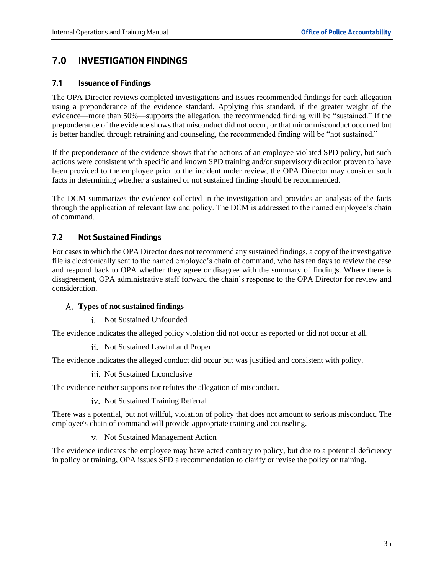## <span id="page-39-0"></span>**7.0 INVESTIGATION FINDINGS**

#### <span id="page-39-1"></span>**7.1 Issuance of Findings**

The OPA Director reviews completed investigations and issues recommended findings for each allegation using a preponderance of the evidence standard. Applying this standard, if the greater weight of the evidence—more than 50%—supports the allegation, the recommended finding will be "sustained." If the preponderance of the evidence shows that misconduct did not occur, or that minor misconduct occurred but is better handled through retraining and counseling, the recommended finding will be "not sustained."

If the preponderance of the evidence shows that the actions of an employee violated SPD policy, but such actions were consistent with specific and known SPD training and/or supervisory direction proven to have been provided to the employee prior to the incident under review, the OPA Director may consider such facts in determining whether a sustained or not sustained finding should be recommended.

The DCM summarizes the evidence collected in the investigation and provides an analysis of the facts through the application of relevant law and policy. The DCM is addressed to the named employee's chain of command.

### <span id="page-39-2"></span>**7.2 Not Sustained Findings**

For cases in which the OPA Director does not recommend any sustained findings, a copy of the investigative file is electronically sent to the named employee's chain of command, who has ten days to review the case and respond back to OPA whether they agree or disagree with the summary of findings. Where there is disagreement, OPA administrative staff forward the chain's response to the OPA Director for review and consideration.

#### **Types of not sustained findings**

Not Sustained Unfounded

The evidence indicates the alleged policy violation did not occur as reported or did not occur at all.

ii. Not Sustained Lawful and Proper

The evidence indicates the alleged conduct did occur but was justified and consistent with policy.

iii. Not Sustained Inconclusive

The evidence neither supports nor refutes the allegation of misconduct.

iv. Not Sustained Training Referral

There was a potential, but not willful, violation of policy that does not amount to serious misconduct. The employee's chain of command will provide appropriate training and counseling.

v. Not Sustained Management Action

The evidence indicates the employee may have acted contrary to policy, but due to a potential deficiency in policy or training, OPA [issues SPD a recommendation](https://www.seattle.gov/opa/policy/policy-recommendations) to clarify or revise the policy or training.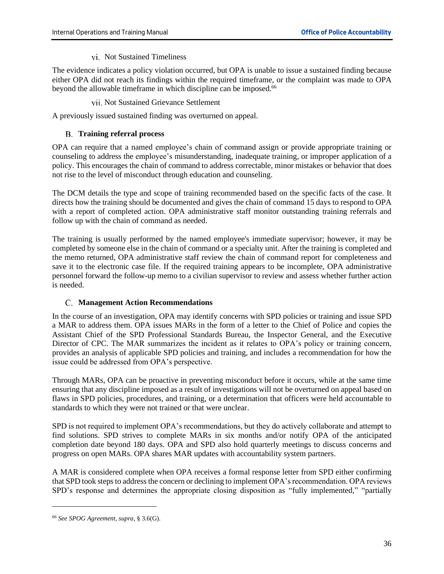#### vi. Not Sustained Timeliness

The evidence indicates a policy violation occurred, but OPA is unable to issue a sustained finding because either OPA did not reach its findings within the required timeframe, or the complaint was made to OPA beyond the allowable timeframe in which discipline can be imposed.<sup>66</sup>

### vii. Not Sustained Grievance Settlement

A previously issued sustained finding was overturned on appeal.

## **Training referral process**

OPA can require that a named employee's chain of command assign or provide appropriate training or counseling to address the employee's misunderstanding, inadequate training, or improper application of a policy. This encourages the chain of command to address correctable, minor mistakes or behavior that does not rise to the level of misconduct through education and counseling.

The DCM details the type and scope of training recommended based on the specific facts of the case. It directs how the training should be documented and gives the chain of command 15 days to respond to OPA with a report of completed action. OPA administrative staff monitor outstanding training referrals and follow up with the chain of command as needed.

The training is usually performed by the named employee's immediate supervisor; however, it may be completed by someone else in the chain of command or a specialty unit. After the training is completed and the memo returned, OPA administrative staff review the chain of command report for completeness and save it to the electronic case file. If the required training appears to be incomplete, OPA administrative personnel forward the follow-up memo to a civilian supervisor to review and assess whether further action is needed.

## **Management Action Recommendations**

In the course of an investigation, OPA may identify concerns with SPD policies or training and issue SPD a MAR to address them. OPA issues MARs in the form of a letter to the Chief of Police and copies the Assistant Chief of the SPD Professional Standards Bureau, the Inspector General, and the Executive Director of CPC. The MAR summarizes the incident as it relates to OPA's policy or training concern, provides an analysis of applicable SPD policies and training, and includes a recommendation for how the issue could be addressed from OPA's perspective.

Through MARs, OPA can be proactive in preventing misconduct before it occurs, while at the same time ensuring that any discipline imposed as a result of investigations will not be overturned on appeal based on flaws in SPD policies, procedures, and training, or a determination that officers were held accountable to standards to which they were not trained or that were unclear.

SPD is not required to implement OPA's recommendations, but they do actively collaborate and attempt to find solutions. SPD strives to complete MARs in six months and/or notify OPA of the anticipated completion date beyond 180 days. OPA and SPD also hold quarterly meetings to discuss concerns and progress on open MARs. OPA shares MAR updates with accountability system partners.

A MAR is considered complete when OPA receives a formal response letter from SPD either confirming that SPD took steps to address the concern or declining to implement OPA's recommendation. OPA reviews SPD's response and determines the appropriate closing disposition as "fully implemented," "partially

<sup>66</sup> *See SPOG Agreement, supra,* § 3.6(G).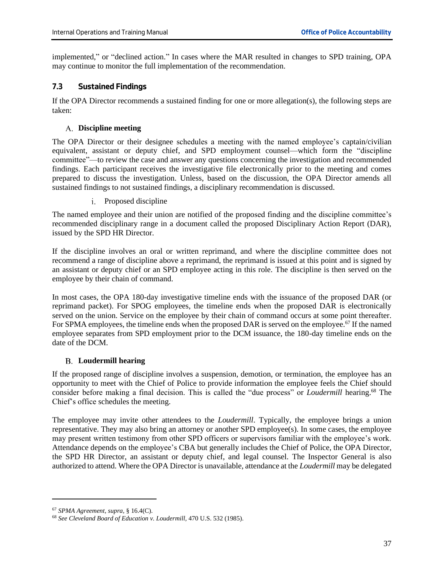implemented," or "declined action." In cases where the MAR resulted in changes to SPD training, OPA may continue to monitor the full implementation of the recommendation.

## <span id="page-41-0"></span>**7.3 Sustained Findings**

If the OPA Director recommends a sustained finding for one or more allegation(s), the following steps are taken:

## **Discipline meeting**

The OPA Director or their designee schedules a meeting with the named employee's captain/civilian equivalent, assistant or deputy chief, and SPD employment counsel—which form the "discipline committee"—to review the case and answer any questions concerning the investigation and recommended findings. Each participant receives the investigative file electronically prior to the meeting and comes prepared to discuss the investigation. Unless, based on the discussion, the OPA Director amends all sustained findings to not sustained findings, a disciplinary recommendation is discussed.

i. Proposed discipline

The named employee and their union are notified of the proposed finding and the discipline committee's recommended disciplinary range in a document called the proposed Disciplinary Action Report (DAR), issued by the SPD HR Director.

If the discipline involves an oral or written reprimand, and where the discipline committee does not recommend a range of discipline above a reprimand, the reprimand is issued at this point and is signed by an assistant or deputy chief or an SPD employee acting in this role. The discipline is then served on the employee by their chain of command.

In most cases, the OPA 180-day investigative timeline ends with the issuance of the proposed DAR (or reprimand packet). For SPOG employees, the timeline ends when the proposed DAR is electronically served on the union. Service on the employee by their chain of command occurs at some point thereafter. For SPMA employees, the timeline ends when the proposed DAR is served on the employee.<sup>67</sup> If the named employee separates from SPD employment prior to the DCM issuance, the 180-day timeline ends on the date of the DCM.

## **Loudermill hearing**

If the proposed range of discipline involves a suspension, demotion, or termination, the employee has an opportunity to meet with the Chief of Police to provide information the employee feels the Chief should consider before making a final decision. This is called the "due process" or *Loudermill* hearing.<sup>68</sup> The Chief's office schedules the meeting.

The employee may invite other attendees to the *Loudermill*. Typically, the employee brings a union representative. They may also bring an attorney or another SPD employee $(s)$ . In some cases, the employee may present written testimony from other SPD officers or supervisors familiar with the employee's work. Attendance depends on the employee's CBA but generally includes the Chief of Police, the OPA Director, the SPD HR Director, an assistant or deputy chief, and legal counsel. The Inspector General is also authorized to attend. Where the OPA Director is unavailable, attendance at the *Loudermill* may be delegated

<sup>67</sup> *SPMA Agreement, supra,* § 16.4(C).

<sup>68</sup> *See Cleveland Board of Education v. Loudermill,* 470 U.S. 532 (1985).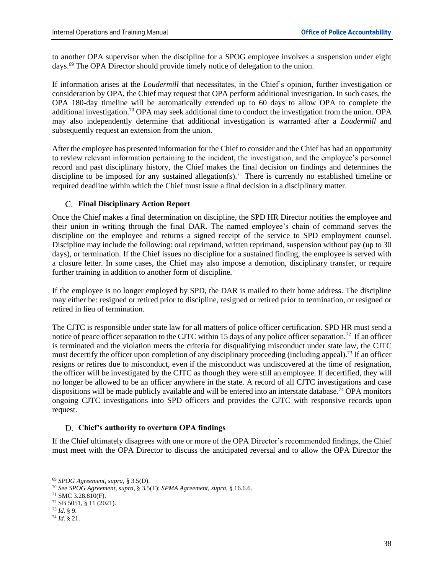to another OPA supervisor when the discipline for a SPOG employee involves a suspension under eight days.<sup>69</sup> The OPA Director should provide timely notice of delegation to the union.

If information arises at the *Loudermill* that necessitates, in the Chief's opinion, further investigation or consideration by OPA, the Chief may request that OPA perform additional investigation. In such cases, the OPA 180-day timeline will be automatically extended up to 60 days to allow OPA to complete the additional investigation.<sup>70</sup> OPA may seek additional time to conduct the investigation from the union. OPA may also independently determine that additional investigation is warranted after a *Loudermill* and subsequently request an extension from the union.

After the employee has presented information for the Chief to consider and the Chief has had an opportunity to review relevant information pertaining to the incident, the investigation, and the employee's personnel record and past disciplinary history, the Chief makes the final decision on findings and determines the discipline to be imposed for any sustained allegation(s).<sup>71</sup> There is currently no established timeline or required deadline within which the Chief must issue a final decision in a disciplinary matter.

### **Final Disciplinary Action Report**

Once the Chief makes a final determination on discipline, the SPD HR Director notifies the employee and their union in writing through the final DAR. The named employee's chain of command serves the discipline on the employee and returns a signed receipt of the service to SPD employment counsel. Discipline may include the following: oral reprimand, written reprimand, suspension without pay (up to 30 days), or termination. If the Chief issues no discipline for a sustained finding, the employee is served with a closure letter. In some cases, the Chief may also impose a demotion, disciplinary transfer, or require further training in addition to another form of discipline.

If the employee is no longer employed by SPD, the DAR is mailed to their home address. The discipline may either be: resigned or retired prior to discipline, resigned or retired prior to termination, or resigned or retired in lieu of termination.

The CJTC is responsible under state law for all matters of police officer certification. SPD HR must send a notice of peace officer separation to the CJTC within 15 days of any police officer separation.<sup>72</sup> If an officer is terminated and the violation meets the criteria for disqualifying misconduct under state law, the CJTC must decertify the officer upon completion of any disciplinary proceeding (including appeal).<sup>73</sup> If an officer resigns or retires due to misconduct, even if the misconduct was undiscovered at the time of resignation, the officer will be investigated by the CJTC as though they were still an employee. If decertified, they will no longer be allowed to be an officer anywhere in the state. A record of all CJTC investigations and case dispositions will be made publicly available and will be entered into an interstate database. <sup>74</sup> OPA monitors ongoing CJTC investigations into SPD officers and provides the CJTC with responsive records upon request.

#### **Chief's authority to overturn OPA findings**

If the Chief ultimately disagrees with one or more of the OPA Director's recommended findings, the Chief must meet with the OPA Director to discuss the anticipated reversal and to allow the OPA Director the

<sup>69</sup> *SPOG Agreement, supra,* § 3.5(D).

<sup>70</sup> *See SPOG Agreement, supra,* § 3.5(F); *SPMA Agreement, supra,* § 16.6.6.

<sup>71</sup> SMC 3.28.810(F).

<sup>72</sup> SB 5051, § 11 (2021).

<sup>73</sup> *Id.* § 9.

<sup>74</sup> *Id.* § 21.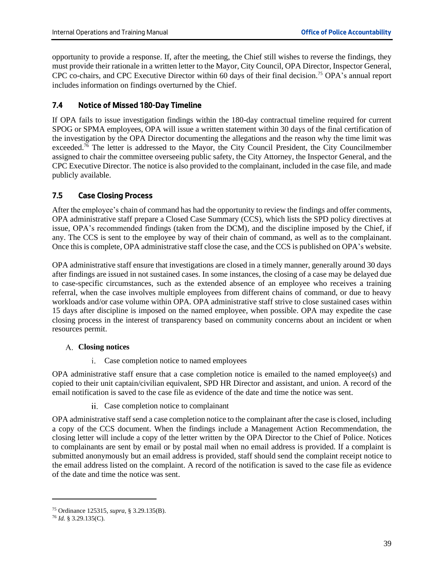opportunity to provide a response. If, after the meeting, the Chief still wishes to reverse the findings, they must provide their rationale in a written letter to the Mayor, City Council, OPA Director, Inspector General, CPC co-chairs, and CPC Executive Director within 60 days of their final decision. <sup>75</sup> OPA's annual report includes information on findings overturned by the Chief.

## <span id="page-43-0"></span>**7.4 Notice of Missed 180-Day Timeline**

If OPA fails to issue investigation findings within the 180-day contractual timeline required for current SPOG or SPMA employees, OPA will issue a written statement within 30 days of the final certification of the investigation by the OPA Director documenting the allegations and the reason why the time limit was exceeded.<sup>76</sup> The letter is addressed to the Mayor, the City Council President, the City Councilmember assigned to chair the committee overseeing public safety, the City Attorney, the Inspector General, and the CPC Executive Director. The notice is also provided to the complainant, included in the case file, and made publicly available.

## <span id="page-43-1"></span>**7.5 Case Closing Process**

After the employee's chain of command has had the opportunity to review the findings and offer comments, OPA administrative staff prepare a Closed Case Summary (CCS), which lists the SPD policy directives at issue, OPA's recommended findings (taken from the DCM), and the discipline imposed by the Chief, if any. The CCS is sent to the employee by way of their chain of command, as well as to the complainant. Once this is complete, OPA administrative staff close the case, and the CCS is published on OPA's website.

OPA administrative staff ensure that investigations are closed in a timely manner, generally around 30 days after findings are issued in not sustained cases. In some instances, the closing of a case may be delayed due to case-specific circumstances, such as the extended absence of an employee who receives a training referral, when the case involves multiple employees from different chains of command, or due to heavy workloads and/or case volume within OPA. OPA administrative staff strive to close sustained cases within 15 days after discipline is imposed on the named employee, when possible. OPA may expedite the case closing process in the interest of transparency based on community concerns about an incident or when resources permit.

## **Closing notices**

Case completion notice to named employees

OPA administrative staff ensure that a case completion notice is emailed to the named employee(s) and copied to their unit captain/civilian equivalent, SPD HR Director and assistant, and union. A record of the email notification is saved to the case file as evidence of the date and time the notice was sent.

Case completion notice to complainant

OPA administrative staff send a case completion notice to the complainant after the case is closed, including a copy of the CCS document. When the findings include a Management Action Recommendation, the closing letter will include a copy of the letter written by the OPA Director to the Chief of Police. Notices to complainants are sent by email or by postal mail when no email address is provided. If a complaint is submitted anonymously but an email address is provided, staff should send the complaint receipt notice to the email address listed on the complaint. A record of the notification is saved to the case file as evidence of the date and time the notice was sent.

<sup>75</sup> Ordinance 125315, *supra*, § 3.29.135(B).

<sup>76</sup> *Id.* § 3.29.135(C).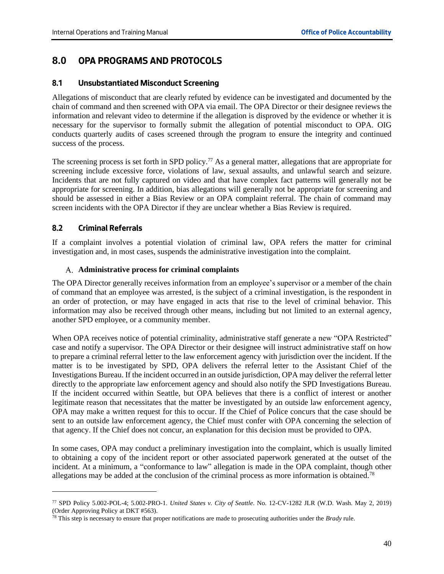## <span id="page-44-0"></span>**8.0 OPA PROGRAMS AND PROTOCOLS**

#### <span id="page-44-1"></span>**8.1 Unsubstantiated Misconduct Screening**

Allegations of misconduct that are clearly refuted by evidence can be investigated and documented by the chain of command and then screened with OPA via email. The OPA Director or their designee reviews the information and relevant video to determine if the allegation is disproved by the evidence or whether it is necessary for the supervisor to formally submit the allegation of potential misconduct to OPA. OIG conducts quarterly audits of cases screened through the program to ensure the integrity and continued success of the process.

The screening process is set forth in SPD policy.<sup>77</sup> As a general matter, allegations that are appropriate for screening include excessive force, violations of law, sexual assaults, and unlawful search and seizure. Incidents that are not fully captured on video and that have complex fact patterns will generally not be appropriate for screening. In addition, bias allegations will generally not be appropriate for screening and should be assessed in either a Bias Review or an OPA complaint referral. The chain of command may screen incidents with the OPA Director if they are unclear whether a Bias Review is required.

### <span id="page-44-2"></span>**8.2 Criminal Referrals**

If a complaint involves a potential violation of criminal law, OPA refers the matter for criminal investigation and, in most cases, suspends the administrative investigation into the complaint.

#### **Administrative process for criminal complaints**

The OPA Director generally receives information from an employee's supervisor or a member of the chain of command that an employee was arrested, is the subject of a criminal investigation, is the respondent in an order of protection, or may have engaged in acts that rise to the level of criminal behavior. This information may also be received through other means, including but not limited to an external agency, another SPD employee, or a community member.

When OPA receives notice of potential criminality, administrative staff generate a new "OPA Restricted" case and notify a supervisor. The OPA Director or their designee will instruct administrative staff on how to prepare a criminal referral letter to the law enforcement agency with jurisdiction over the incident. If the matter is to be investigated by SPD, OPA delivers the referral letter to the Assistant Chief of the Investigations Bureau. If the incident occurred in an outside jurisdiction, OPA may deliver the referral letter directly to the appropriate law enforcement agency and should also notify the SPD Investigations Bureau. If the incident occurred within Seattle, but OPA believes that there is a conflict of interest or another legitimate reason that necessitates that the matter be investigated by an outside law enforcement agency, OPA may make a written request for this to occur. If the Chief of Police concurs that the case should be sent to an outside law enforcement agency, the Chief must confer with OPA concerning the selection of that agency. If the Chief does not concur, an explanation for this decision must be provided to OPA.

In some cases, OPA may conduct a preliminary investigation into the complaint, which is usually limited to obtaining a copy of the incident report or other associated paperwork generated at the outset of the incident. At a minimum, a "conformance to law" allegation is made in the OPA complaint, though other allegations may be added at the conclusion of the criminal process as more information is obtained.<sup>78</sup>

<sup>77</sup> SPD Policy 5.002-POL-4; 5.002-PRO-1. *United States v. City of Seattle*. No. 12-CV-1282 JLR (W.D. Wash. May 2, 2019) (Order Approving Policy at DKT #563).

<sup>78</sup> This step is necessary to ensure that proper notifications are made to prosecuting authorities under the *Brady* rule.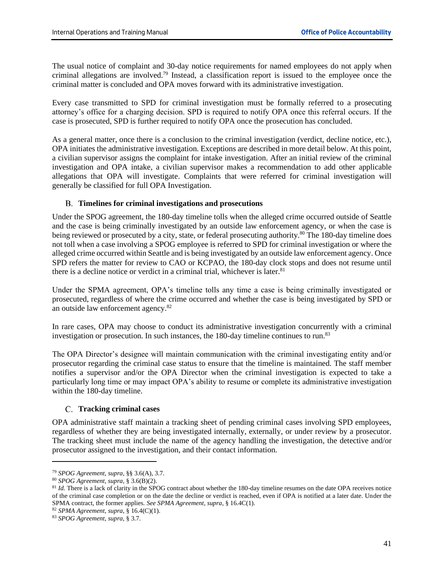The usual notice of complaint and 30-day notice requirements for named employees do not apply when criminal allegations are involved.<sup>79</sup> Instead, a classification report is issued to the employee once the criminal matter is concluded and OPA moves forward with its administrative investigation.

Every case transmitted to SPD for criminal investigation must be formally referred to a prosecuting attorney's office for a charging decision. SPD is required to notify OPA once this referral occurs. If the case is prosecuted, SPD is further required to notify OPA once the prosecution has concluded.

As a general matter, once there is a conclusion to the criminal investigation (verdict, decline notice, etc.), OPA initiates the administrative investigation. Exceptions are described in more detail below. At this point, a civilian supervisor assigns the complaint for intake investigation. After an initial review of the criminal investigation and OPA intake, a civilian supervisor makes a recommendation to add other applicable allegations that OPA will investigate. Complaints that were referred for criminal investigation will generally be classified for full OPA Investigation.

### **Timelines for criminal investigations and prosecutions**

Under the SPOG agreement, the 180-day timeline tolls when the alleged crime occurred outside of Seattle and the case is being criminally investigated by an outside law enforcement agency, or when the case is being reviewed or prosecuted by a city, state, or federal prosecuting authority.<sup>80</sup> The 180-day timeline does not toll when a case involving a SPOG employee is referred to SPD for criminal investigation or where the alleged crime occurred within Seattle and is being investigated by an outside law enforcement agency. Once SPD refers the matter for review to CAO or KCPAO, the 180-day clock stops and does not resume until there is a decline notice or verdict in a criminal trial, whichever is later.<sup>81</sup>

Under the SPMA agreement, OPA's timeline tolls any time a case is being criminally investigated or prosecuted, regardless of where the crime occurred and whether the case is being investigated by SPD or an outside law enforcement agency.<sup>82</sup>

In rare cases, OPA may choose to conduct its administrative investigation concurrently with a criminal investigation or prosecution. In such instances, the 180-day timeline continues to run. 83

The OPA Director's designee will maintain communication with the criminal investigating entity and/or prosecutor regarding the criminal case status to ensure that the timeline is maintained. The staff member notifies a supervisor and/or the OPA Director when the criminal investigation is expected to take a particularly long time or may impact OPA's ability to resume or complete its administrative investigation within the 180-day timeline.

## **Tracking criminal cases**

OPA administrative staff maintain a tracking sheet of pending criminal cases involving SPD employees, regardless of whether they are being investigated internally, externally, or under review by a prosecutor. The tracking sheet must include the name of the agency handling the investigation, the detective and/or prosecutor assigned to the investigation, and their contact information.

<sup>79</sup> *SPOG Agreement, supra,* §§ 3.6(A), 3.7.

<sup>80</sup> *SPOG Agreement, supra,* § 3.6(B)(2).

<sup>&</sup>lt;sup>81</sup> *Id.* There is a lack of clarity in the SPOG contract about whether the 180-day timeline resumes on the date OPA receives notice of the criminal case completion or on the date the decline or verdict is reached, even if OPA is notified at a later date. Under the SPMA contract, the former applies. *See SPMA Agreement*, *supra*, § 16.4C(1).

<sup>82</sup> *SPMA Agreement*, *supra*, § 16.4(C)(1).

<sup>83</sup> *SPOG Agreement, supra,* § 3.7.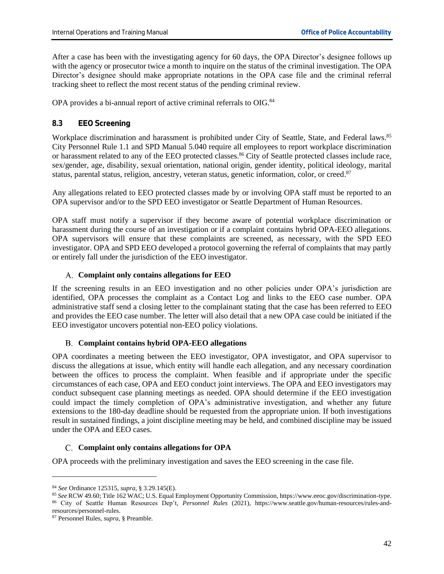After a case has been with the investigating agency for 60 days, the OPA Director's designee follows up with the agency or prosecutor twice a month to inquire on the status of the criminal investigation. The OPA Director's designee should make appropriate notations in the OPA case file and the criminal referral tracking sheet to reflect the most recent status of the pending criminal review.

<span id="page-46-0"></span>OPA provides a bi-annual report of active criminal referrals to OIG.<sup>84</sup>

## **8.3 EEO Screening**

Workplace discrimination and harassment is prohibited under City of Seattle, State, and Federal laws.<sup>85</sup> City Personnel Rule 1.1 and SPD Manual 5.040 require all employees to report workplace discrimination or harassment related to any of the EEO protected classes.<sup>86</sup> City of Seattle protected classes include race, sex/gender, age, disability, sexual orientation, national origin, gender identity, political ideology, marital status, parental status, religion, ancestry, veteran status, genetic information, color, or creed. 87

Any allegations related to EEO protected classes made by or involving OPA staff must be reported to an OPA supervisor and/or to the SPD EEO investigator or Seattle Department of Human Resources.

OPA staff must notify a supervisor if they become aware of potential workplace discrimination or harassment during the course of an investigation or if a complaint contains hybrid OPA-EEO allegations. OPA supervisors will ensure that these complaints are screened, as necessary, with the SPD EEO investigator. OPA and SPD EEO developed a protocol governing the referral of complaints that may partly or entirely fall under the jurisdiction of the EEO investigator.

### **Complaint only contains allegations for EEO**

If the screening results in an EEO investigation and no other policies under OPA's jurisdiction are identified, OPA processes the complaint as a Contact Log and links to the EEO case number. OPA administrative staff send a closing letter to the complainant stating that the case has been referred to EEO and provides the EEO case number. The letter will also detail that a new OPA case could be initiated if the EEO investigator uncovers potential non-EEO policy violations.

#### **Complaint contains hybrid OPA-EEO allegations**

OPA coordinates a meeting between the EEO investigator, OPA investigator, and OPA supervisor to discuss the allegations at issue, which entity will handle each allegation, and any necessary coordination between the offices to process the complaint. When feasible and if appropriate under the specific circumstances of each case, OPA and EEO conduct joint interviews. The OPA and EEO investigators may conduct subsequent case planning meetings as needed. OPA should determine if the EEO investigation could impact the timely completion of OPA's administrative investigation, and whether any future extensions to the 180-day deadline should be requested from the appropriate union. If both investigations result in sustained findings, a joint discipline meeting may be held, and combined discipline may be issued under the OPA and EEO cases.

#### **Complaint only contains allegations for OPA**

OPA proceeds with the preliminary investigation and saves the EEO screening in the case file.

<sup>84</sup> *See* Ordinance 125315, *supra*, § 3.29.145(E).

<sup>85</sup> *See* RCW 49.60; Title 162 WAC; U.S. Equal Employment Opportunity Commission, [https://www.eeoc.gov/discrimination-type.](https://www.eeoc.gov/discrimination-type) <sup>86</sup> City of Seattle Human Resources Dep't*, Personnel Rules* (2021), [https://www.seattle.gov/human-resources/rules-and](https://www.seattle.gov/human-resources/rules-and-resources/personnel-rules)[resources/personnel-rules.](https://www.seattle.gov/human-resources/rules-and-resources/personnel-rules)

<sup>87</sup> Personnel Rules, *supra*, § Preamble.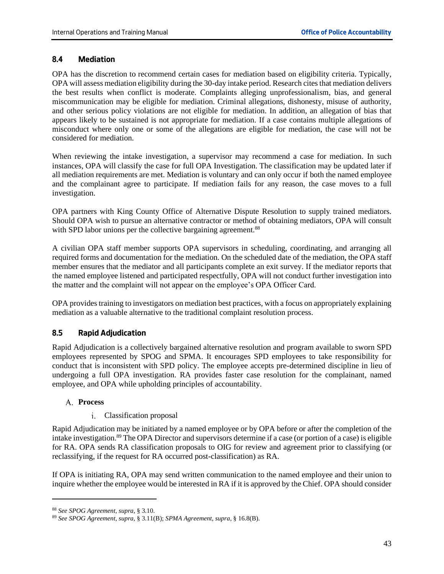#### <span id="page-47-0"></span>**8.4 Mediation**

OPA has the discretion to recommend certain cases for mediation based on eligibility criteria. Typically, OPA will assess mediation eligibility during the 30-day intake period. Research cites that mediation delivers the best results when conflict is moderate. Complaints alleging unprofessionalism, bias, and general miscommunication may be eligible for mediation. Criminal allegations, dishonesty, misuse of authority, and other serious policy violations are not eligible for mediation. In addition, an allegation of bias that appears likely to be sustained is not appropriate for mediation. If a case contains multiple allegations of misconduct where only one or some of the allegations are eligible for mediation, the case will not be considered for mediation.

When reviewing the intake investigation, a supervisor may recommend a case for mediation. In such instances, OPA will classify the case for full OPA Investigation. The classification may be updated later if all mediation requirements are met. Mediation is voluntary and can only occur if both the named employee and the complainant agree to participate. If mediation fails for any reason, the case moves to a full investigation.

OPA partners with King County Office of Alternative Dispute Resolution to supply trained mediators. Should OPA wish to pursue an alternative contractor or method of obtaining mediators, OPA will consult with SPD labor unions per the collective bargaining agreement.<sup>88</sup>

A civilian OPA staff member supports OPA supervisors in scheduling, coordinating, and arranging all required forms and documentation for the mediation. On the scheduled date of the mediation, the OPA staff member ensures that the mediator and all participants complete an exit survey. If the mediator reports that the named employee listened and participated respectfully, OPA will not conduct further investigation into the matter and the complaint will not appear on the employee's OPA Officer Card.

OPA provides training to investigators on mediation best practices, with a focus on appropriately explaining mediation as a valuable alternative to the traditional complaint resolution process.

#### <span id="page-47-1"></span>**8.5 Rapid Adjudication**

Rapid Adjudication is a collectively bargained alternative resolution and program available to sworn SPD employees represented by SPOG and SPMA. It encourages SPD employees to take responsibility for conduct that is inconsistent with SPD policy. The employee accepts pre-determined discipline in lieu of undergoing a full OPA investigation. RA provides faster case resolution for the complainant, named employee, and OPA while upholding principles of accountability.

#### **Process**

#### Classification proposal

Rapid Adjudication may be initiated by a named employee or by OPA before or after the completion of the intake investigation. <sup>89</sup> The OPA Director and supervisors determine if a case (or portion of a case) is eligible for RA. OPA sends RA classification proposals to OIG for review and agreement prior to classifying (or reclassifying, if the request for RA occurred post-classification) as RA.

If OPA is initiating RA, OPA may send written communication to the named employee and their union to inquire whether the employee would be interested in RA if it is approved by the Chief. OPA should consider

<sup>88</sup> *See SPOG Agreement, supra*, § 3.10.

<sup>89</sup> *See SPOG Agreement, supra,* § 3.11(B); *SPMA Agreement*, *supra*, § 16.8(B).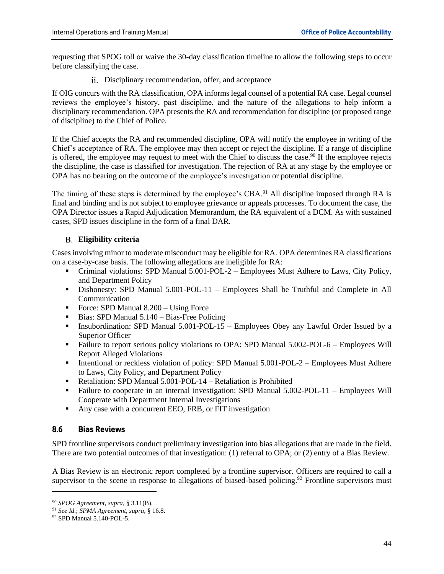requesting that SPOG toll or waive the 30-day classification timeline to allow the following steps to occur before classifying the case.

Disciplinary recommendation, offer, and acceptance

If OIG concurs with the RA classification, OPA informs legal counsel of a potential RA case. Legal counsel reviews the employee's history, past discipline, and the nature of the allegations to help inform a disciplinary recommendation. OPA presents the RA and recommendation for discipline (or proposed range of discipline) to the Chief of Police.

If the Chief accepts the RA and recommended discipline, OPA will notify the employee in writing of the Chief's acceptance of RA. The employee may then accept or reject the discipline. If a range of discipline is offered, the employee may request to meet with the Chief to discuss the case.<sup>90</sup> If the employee rejects the discipline, the case is classified for investigation. The rejection of RA at any stage by the employee or OPA has no bearing on the outcome of the employee's investigation or potential discipline.

The timing of these steps is determined by the employee's CBA.<sup>91</sup> All discipline imposed through RA is final and binding and is not subject to employee grievance or appeals processes. To document the case, the OPA Director issues a Rapid Adjudication Memorandum, the RA equivalent of a DCM. As with sustained cases, SPD issues discipline in the form of a final DAR.

## **Eligibility criteria**

Cases involving minor to moderate misconduct may be eligible for RA. OPA determines RA classifications on a case-by-case basis. The following allegations are ineligible for RA:

- Criminal violations: SPD Manual 5.001-POL-2 Employees Must Adhere to Laws, City Policy, and Department Policy
- **•** Dishonesty: SPD Manual 5.001-POL-11 Employees Shall be Truthful and Complete in All Communication
- Force: SPD Manual 8.200 Using Force
- $\blacksquare$  Bias: SPD Manual 5.140 Bias-Free Policing
- **•** Insubordination: SPD Manual 5.001-POL-15 Employees Obey any Lawful Order Issued by a Superior Officer
- Failure to report serious policy violations to OPA: SPD Manual 5.002-POL-6 Employees Will Report Alleged Violations
- **•** Intentional or reckless violation of policy: SPD Manual 5.001-POL-2 Employees Must Adhere to Laws, City Policy, and Department Policy
- Retaliation: SPD Manual 5.001-POL-14 Retaliation is Prohibited
- Failure to cooperate in an internal investigation: SPD Manual 5.002-POL-11 Employees Will Cooperate with Department Internal Investigations
- Any case with a concurrent EEO, FRB, or FIT investigation

## <span id="page-48-0"></span>**8.6 Bias Reviews**

SPD frontline supervisors conduct preliminary investigation into bias allegations that are made in the field. There are two potential outcomes of that investigation: (1) referral to OPA; or (2) entry of a Bias Review.

A Bias Review is an electronic report completed by a frontline supervisor. Officers are required to call a supervisor to the scene in response to allegations of biased-based policing.<sup>92</sup> Frontline supervisors must

<sup>90</sup> *SPOG Agreement, supra,* § 3.11(B).

<sup>91</sup> *See Id.*; *SPMA Agreement, supra,* § 16.8.

<sup>92</sup> SPD Manual 5.140-POL-5.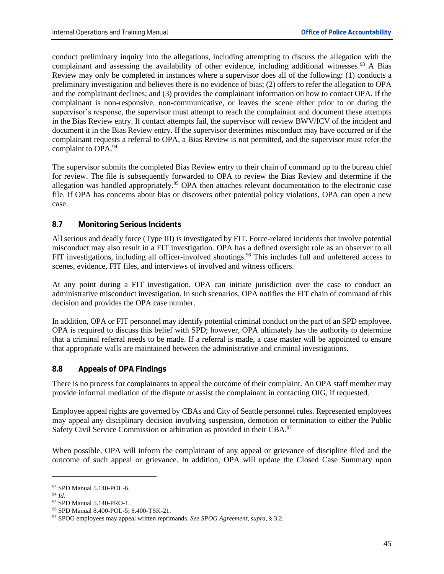conduct preliminary inquiry into the allegations, including attempting to discuss the allegation with the complainant and assessing the availability of other evidence, including additional witnesses. <sup>93</sup> A Bias Review may only be completed in instances where a supervisor does all of the following: (1) conducts a preliminary investigation and believes there is no evidence of bias; (2) offers to refer the allegation to OPA and the complainant declines; and (3) provides the complainant information on how to contact OPA. If the complainant is non-responsive, non-communicative, or leaves the scene either prior to or during the supervisor's response, the supervisor must attempt to reach the complainant and document these attempts in the Bias Review entry. If contact attempts fail, the supervisor will review BWV/ICV of the incident and document it in the Bias Review entry. If the supervisor determines misconduct may have occurred or if the complainant requests a referral to OPA, a Bias Review is not permitted, and the supervisor must refer the complaint to OPA.<sup>94</sup>

The supervisor submits the completed Bias Review entry to their chain of command up to the bureau chief for review. The file is subsequently forwarded to OPA to review the Bias Review and determine if the allegation was handled appropriately.<sup>95</sup> OPA then attaches relevant documentation to the electronic case file. If OPA has concerns about bias or discovers other potential policy violations, OPA can open a new case.

## <span id="page-49-0"></span>**8.7 Monitoring Serious Incidents**

All serious and deadly force (Type III) is investigated by FIT. Force-related incidents that involve potential misconduct may also result in a FIT investigation. OPA has a defined oversight role as an observer to all FIT investigations, including all officer-involved shootings.<sup>96</sup> This includes full and unfettered access to scenes, evidence, FIT files, and interviews of involved and witness officers.

At any point during a FIT investigation, OPA can initiate jurisdiction over the case to conduct an administrative misconduct investigation. In such scenarios, OPA notifies the FIT chain of command of this decision and provides the OPA case number.

In addition, OPA or FIT personnel may identify potential criminal conduct on the part of an SPD employee. OPA is required to discuss this belief with SPD; however, OPA ultimately has the authority to determine that a criminal referral needs to be made. If a referral is made, a case master will be appointed to ensure that appropriate walls are maintained between the administrative and criminal investigations.

## <span id="page-49-1"></span>**8.8 Appeals of OPA Findings**

There is no process for complainants to appeal the outcome of their complaint. An OPA staff member may provide informal mediation of the dispute or assist the complainant in contacting OIG, if requested.

Employee appeal rights are governed by CBAs and City of Seattle personnel rules. Represented employees may appeal any disciplinary decision involving suspension, demotion or termination to either the Public Safety Civil Service Commission or arbitration as provided in their CBA.<sup>97</sup>

When possible, OPA will inform the complainant of any appeal or grievance of discipline filed and the outcome of such appeal or grievance. In addition, OPA will update the Closed Case Summary upon

<sup>94</sup> *Id.*

<sup>93</sup> SPD Manual 5.140-POL-6.

<sup>95</sup> SPD Manual 5.140-PRO-1.

<sup>96</sup> SPD Manual 8.400-POL-5; 8.400-TSK-21.

<sup>97</sup> SPOG employees may appeal written reprimands. *See SPOG Agreement, supra,* § 3.2.